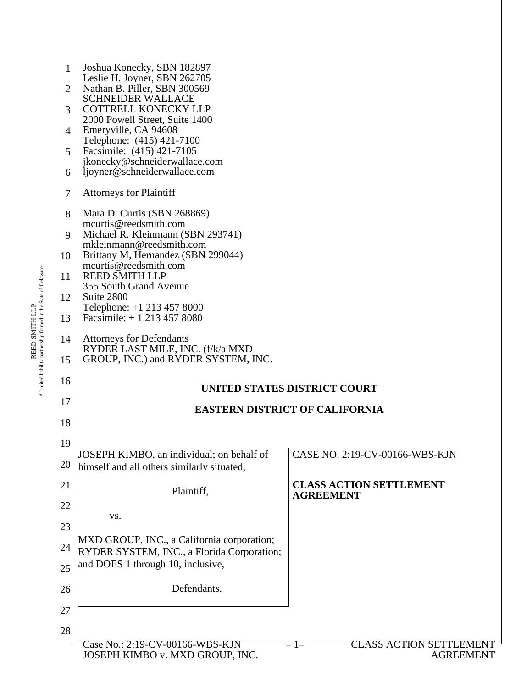| 1  | Joshua Konecky, SBN 182897<br>Leslie H. Joyner, SBN 262705                                                                                                                                                  |                                                    |  |  |  |
|----|-------------------------------------------------------------------------------------------------------------------------------------------------------------------------------------------------------------|----------------------------------------------------|--|--|--|
| 2  | Nathan B. Piller, SBN 300569<br><b>SCHNEIDER WALLACE</b><br><b>COTTRELL KONECKY LLP</b><br>2000 Powell Street, Suite 1400<br>Emeryville, CA 94608<br>Telephone: (415) 421-7100<br>Facsimile: (415) 421-7105 |                                                    |  |  |  |
| 3  |                                                                                                                                                                                                             |                                                    |  |  |  |
| 4  |                                                                                                                                                                                                             |                                                    |  |  |  |
| 5  |                                                                                                                                                                                                             |                                                    |  |  |  |
| 6  | jkonecky@schneiderwallace.com<br>ljoyner@schneiderwallace.com                                                                                                                                               |                                                    |  |  |  |
| 7  | <b>Attorneys for Plaintiff</b>                                                                                                                                                                              |                                                    |  |  |  |
| 8  | Mara D. Curtis (SBN 268869)<br>mcurtis@reedsmith.com                                                                                                                                                        |                                                    |  |  |  |
| 9  | Michael R. Kleinmann (SBN 293741)<br>mkleinmann@reedsmith.com                                                                                                                                               |                                                    |  |  |  |
| 10 | Brittany M, Hernandez (SBN 299044)<br>mcurtis@reedsmith.com<br><b>REED SMITH LLP</b><br>355 South Grand Avenue<br>Suite 2800<br>Telephone: +1 213 457 8000                                                  |                                                    |  |  |  |
| 11 |                                                                                                                                                                                                             |                                                    |  |  |  |
| 12 |                                                                                                                                                                                                             |                                                    |  |  |  |
| 13 | Facsimile: $+ 12134578080$                                                                                                                                                                                  |                                                    |  |  |  |
| 14 | <b>Attorneys for Defendants</b><br>RYDER LAST MILE, INC. (f/k/a MXD                                                                                                                                         |                                                    |  |  |  |
| 15 | GROUP, INC.) and RYDER SYSTEM, INC.                                                                                                                                                                         |                                                    |  |  |  |
| 16 |                                                                                                                                                                                                             | UNITED STATES DISTRICT COURT                       |  |  |  |
| 17 |                                                                                                                                                                                                             | <b>EASTERN DISTRICT OF CALIFORNIA</b>              |  |  |  |
| 18 |                                                                                                                                                                                                             |                                                    |  |  |  |
| 19 | JOSEPH KIMBO, an individual; on behalf of                                                                                                                                                                   | CASE NO. 2:19-CV-00166-WBS-KJN                     |  |  |  |
| 20 | himself and all others similarly situated,                                                                                                                                                                  |                                                    |  |  |  |
| 21 | Plaintiff,                                                                                                                                                                                                  | <b>CLASS ACTION SETTLEMENT</b><br><b>AGREEMENT</b> |  |  |  |
| 22 | VS.                                                                                                                                                                                                         |                                                    |  |  |  |
| 23 | MXD GROUP, INC., a California corporation;                                                                                                                                                                  |                                                    |  |  |  |
| 24 | RYDER SYSTEM, INC., a Florida Corporation;                                                                                                                                                                  |                                                    |  |  |  |
| 25 | and DOES 1 through 10, inclusive,                                                                                                                                                                           |                                                    |  |  |  |
| 26 | Defendants.                                                                                                                                                                                                 |                                                    |  |  |  |
| 27 |                                                                                                                                                                                                             |                                                    |  |  |  |
| 28 | Case No.: 2:19-CV-00166-WBS-KJN                                                                                                                                                                             | <b>CLASS ACTION SETTLEMENT</b><br>$-1-$            |  |  |  |
|    | JOSEPH KIMBO v. MXD GROUP, INC.                                                                                                                                                                             | <b>AGREEMENT</b>                                   |  |  |  |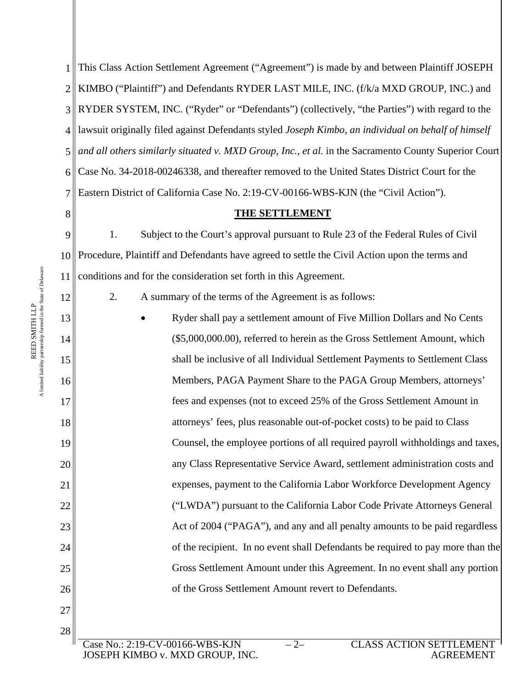1 2 KIMBO ("Plaintiff") and Defendants RYDER LAST MILE, INC. (f/k/a MXD GROUP, INC.) and 3 RYDER SYSTEM, INC. ("Ryder" or "Defendants") (collectively, "the Parties") with regard to the 4 lawsuit originally filed against Defendants styled *Joseph Kimbo, an individual on behalf of himself*  This Class Action Settlement Agreement ("Agreement") is made by and between Plaintiff JOSEPH and all others similarly situated v. MXD Group, Inc., et al. in the Sacramento County Superior Court Case No. 34-2018-00246338, and thereafter removed to the United States District Court for the Eastern District of California Case No. 2:19-CV-00166-WBS-KJN (the "Civil Action").

# **THE SETTLEMENT**

1. Subject to the Court's approval pursuant to Rule 23 of the Federal Rules of Civil Procedure, Plaintiff and Defendants have agreed to settle the Civil Action upon the terms and conditions and for the consideration set forth in this Agreement.

2. A summary of the terms of the Agreement is as follows:

 Ryder shall pay a settlement amount of Five Million Dollars and No Cents (\$5,000,000.00), referred to herein as the Gross Settlement Amount, which shall be inclusive of all Individual Settlement Payments to Settlement Class Members, PAGA Payment Share to the PAGA Group Members, attorneys' fees and expenses (not to exceed 25% of the Gross Settlement Amount in attorneys' fees, plus reasonable out-of-pocket costs) to be paid to Class Counsel, the employee portions of all required payroll withholdings and taxes, any Class Representative Service Award, settlement administration costs and expenses, payment to the California Labor Workforce Development Agency ("LWDA") pursuant to the California Labor Code Private Attorneys General Act of 2004 ("PAGA"), and any and all penalty amounts to be paid regardless of the recipient. In no event shall Defendants be required to pay more than the Gross Settlement Amount under this Agreement. In no event shall any portion of the Gross Settlement Amount revert to Defendants.

27 28

A

15

16

17

18

19

20

21

22

23

24

25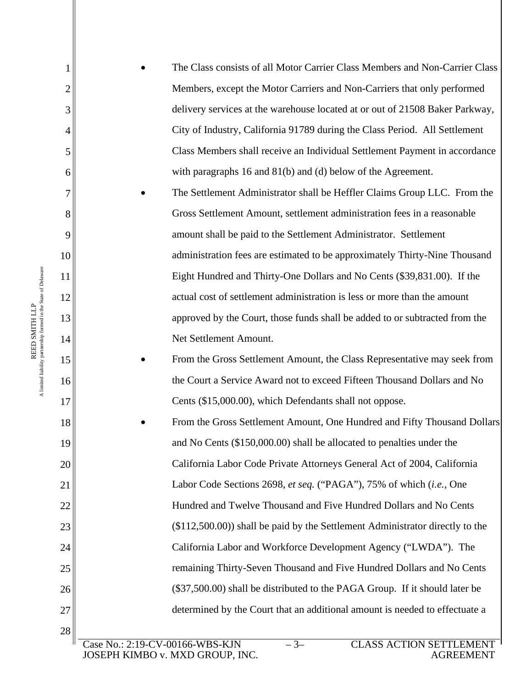The Class consists of all Motor Carrier Class Members and Non-Carrier Class Members, except the Motor Carriers and Non-Carriers that only performed delivery services at the warehouse located at or out of 21508 Baker Parkway, City of Industry, California 91789 during the Class Period. All Settlement Class Members shall receive an Individual Settlement Payment in accordance with paragraphs 16 and 81(b) and (d) below of the Agreement.

- The Settlement Administrator shall be Heffler Claims Group LLC. From the Gross Settlement Amount, settlement administration fees in a reasonable amount shall be paid to the Settlement Administrator. Settlement administration fees are estimated to be approximately Thirty-Nine Thousand Eight Hundred and Thirty-One Dollars and No Cents (\$39,831.00). If the actual cost of settlement administration is less or more than the amount approved by the Court, those funds shall be added to or subtracted from the Net Settlement Amount.
- From the Gross Settlement Amount, the Class Representative may seek from the Court a Service Award not to exceed Fifteen Thousand Dollars and No Cents (\$15,000.00), which Defendants shall not oppose.
- From the Gross Settlement Amount, One Hundred and Fifty Thousand Dollars and No Cents (\$150,000.00) shall be allocated to penalties under the California Labor Code Private Attorneys General Act of 2004, California Labor Code Sections 2698, *et seq.* ("PAGA"), 75% of which (*i.e.,* One Hundred and Twelve Thousand and Five Hundred Dollars and No Cents (\$112,500.00)) shall be paid by the Settlement Administrator directly to the California Labor and Workforce Development Agency ("LWDA"). The remaining Thirty-Seven Thousand and Five Hundred Dollars and No Cents (\$37,500.00) shall be distributed to the PAGA Group. If it should later be determined by the Court that an additional amount is needed to effectuate a

A

1

2

3

4

5

6

7

8

9

10

11

12

13

14

15

16

17

18

19

20

21

22

23

24

25

26

27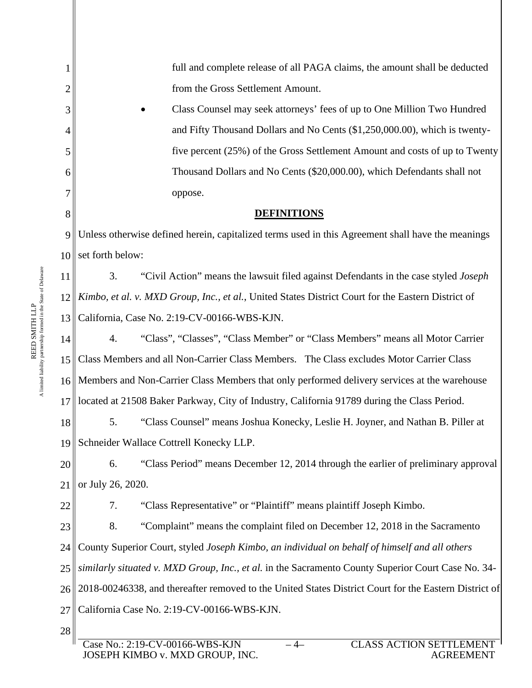|                  | full and complete release of all PAGA claims, the amount shall be deducted                            |  |  |  |
|------------------|-------------------------------------------------------------------------------------------------------|--|--|--|
| $\overline{2}$   | from the Gross Settlement Amount.                                                                     |  |  |  |
| 3                | Class Counsel may seek attorneys' fees of up to One Million Two Hundred                               |  |  |  |
| 4                | and Fifty Thousand Dollars and No Cents (\$1,250,000.00), which is twenty-                            |  |  |  |
| 5                | five percent (25%) of the Gross Settlement Amount and costs of up to Twenty                           |  |  |  |
| 6                | Thousand Dollars and No Cents (\$20,000.00), which Defendants shall not                               |  |  |  |
| 7                | oppose.                                                                                               |  |  |  |
| 8                | <b>DEFINITIONS</b>                                                                                    |  |  |  |
| 9                | Unless otherwise defined herein, capitalized terms used in this Agreement shall have the meanings     |  |  |  |
| 10 <sup>  </sup> | set forth below:                                                                                      |  |  |  |
| 11               | 3.<br>"Civil Action" means the lawsuit filed against Defendants in the case styled <i>Joseph</i>      |  |  |  |
| 12               | Kimbo, et al. v. MXD Group, Inc., et al., United States District Court for the Eastern District of    |  |  |  |
| 13               | California, Case No. 2:19-CV-00166-WBS-KJN.                                                           |  |  |  |
| 14               | "Class", "Classes", "Class Member" or "Class Members" means all Motor Carrier<br>4.                   |  |  |  |
| 15               | Class Members and all Non-Carrier Class Members. The Class excludes Motor Carrier Class               |  |  |  |
| 16               | Members and Non-Carrier Class Members that only performed delivery services at the warehouse          |  |  |  |
| 17               | located at 21508 Baker Parkway, City of Industry, California 91789 during the Class Period.           |  |  |  |
| 18               | 5.<br>"Class Counsel" means Joshua Konecky, Leslie H. Joyner, and Nathan B. Piller at                 |  |  |  |
| 19               | Schneider Wallace Cottrell Konecky LLP.                                                               |  |  |  |
| 20               | "Class Period" means December 12, 2014 through the earlier of preliminary approval<br>6.              |  |  |  |
| 21               | or July 26, 2020.                                                                                     |  |  |  |
| 22               | "Class Representative" or "Plaintiff" means plaintiff Joseph Kimbo.<br>7.                             |  |  |  |
| 23               | 8.<br>"Complaint" means the complaint filed on December 12, 2018 in the Sacramento                    |  |  |  |
| 24               | County Superior Court, styled Joseph Kimbo, an individual on behalf of himself and all others         |  |  |  |
| 25               | similarly situated v. MXD Group, Inc., et al. in the Sacramento County Superior Court Case No. 34-    |  |  |  |
| 26               | 2018-00246338, and thereafter removed to the United States District Court for the Eastern District of |  |  |  |
| 27               | California Case No. 2:19-CV-00166-WBS-KJN.                                                            |  |  |  |
| 28               |                                                                                                       |  |  |  |
|                  | $\cap$ i are a $\cap$ ti $\cap$ ni eetti emieni<br>$2.10$ CVI 00166 WDC VIN                           |  |  |  |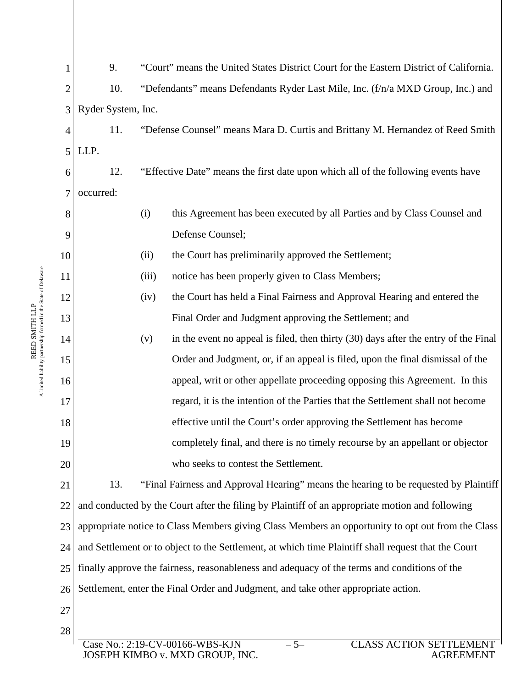|    | 9.                                                                                                  | "Court" means the United States District Court for the Eastern District of California. |                                                                                      |  |  |
|----|-----------------------------------------------------------------------------------------------------|----------------------------------------------------------------------------------------|--------------------------------------------------------------------------------------|--|--|
| 2  | 10.                                                                                                 | "Defendants" means Defendants Ryder Last Mile, Inc. (f/n/a MXD Group, Inc.) and        |                                                                                      |  |  |
| 3  | Ryder System, Inc.                                                                                  |                                                                                        |                                                                                      |  |  |
| 4  | 11.                                                                                                 | "Defense Counsel" means Mara D. Curtis and Brittany M. Hernandez of Reed Smith         |                                                                                      |  |  |
| 5  | LLP.                                                                                                |                                                                                        |                                                                                      |  |  |
| 6  | 12.                                                                                                 | "Effective Date" means the first date upon which all of the following events have      |                                                                                      |  |  |
| 7  | occurred:                                                                                           |                                                                                        |                                                                                      |  |  |
| 8  |                                                                                                     | (i)                                                                                    | this Agreement has been executed by all Parties and by Class Counsel and             |  |  |
| 9  |                                                                                                     | Defense Counsel;                                                                       |                                                                                      |  |  |
| 10 |                                                                                                     | (ii)                                                                                   | the Court has preliminarily approved the Settlement;                                 |  |  |
| 11 |                                                                                                     | (iii)                                                                                  | notice has been properly given to Class Members;                                     |  |  |
| 12 |                                                                                                     | (iv)                                                                                   | the Court has held a Final Fairness and Approval Hearing and entered the             |  |  |
| 13 |                                                                                                     |                                                                                        | Final Order and Judgment approving the Settlement; and                               |  |  |
| 14 |                                                                                                     | (v)                                                                                    | in the event no appeal is filed, then thirty (30) days after the entry of the Final  |  |  |
| 15 |                                                                                                     |                                                                                        | Order and Judgment, or, if an appeal is filed, upon the final dismissal of the       |  |  |
| 16 |                                                                                                     |                                                                                        | appeal, writ or other appellate proceeding opposing this Agreement. In this          |  |  |
| 17 |                                                                                                     |                                                                                        | regard, it is the intention of the Parties that the Settlement shall not become      |  |  |
| 18 |                                                                                                     |                                                                                        | effective until the Court's order approving the Settlement has become                |  |  |
| 19 |                                                                                                     |                                                                                        | completely final, and there is no timely recourse by an appellant or objector        |  |  |
| 20 |                                                                                                     |                                                                                        | who seeks to contest the Settlement.                                                 |  |  |
| 21 | 13.                                                                                                 |                                                                                        | "Final Fairness and Approval Hearing" means the hearing to be requested by Plaintiff |  |  |
| 22 | and conducted by the Court after the filing by Plaintiff of an appropriate motion and following     |                                                                                        |                                                                                      |  |  |
| 23 | appropriate notice to Class Members giving Class Members an opportunity to opt out from the Class   |                                                                                        |                                                                                      |  |  |
| 24 | and Settlement or to object to the Settlement, at which time Plaintiff shall request that the Court |                                                                                        |                                                                                      |  |  |
| 25 | finally approve the fairness, reasonableness and adequacy of the terms and conditions of the        |                                                                                        |                                                                                      |  |  |
| 26 | Settlement, enter the Final Order and Judgment, and take other appropriate action.                  |                                                                                        |                                                                                      |  |  |
| 27 |                                                                                                     |                                                                                        |                                                                                      |  |  |
| 28 |                                                                                                     |                                                                                        |                                                                                      |  |  |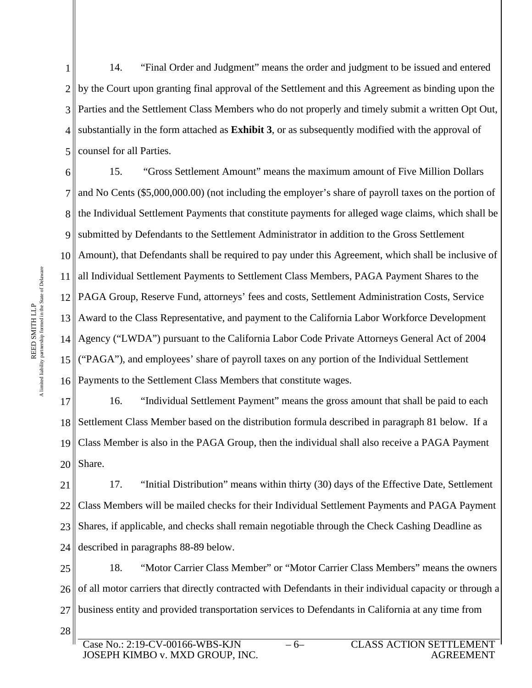1 2 3 4 5 14. "Final Order and Judgment" means the order and judgment to be issued and entered by the Court upon granting final approval of the Settlement and this Agreement as binding upon the Parties and the Settlement Class Members who do not properly and timely submit a written Opt Out, substantially in the form attached as **Exhibit 3**, or as subsequently modified with the approval of counsel for all Parties.

6 7 8 9 10 11 || all Individual Settlement Payments to Settlement Class Members, PAGA Payment Shares to the 12 13 Award to the Class Representative, and payment to the California Labor Workforce Development 14 15 16 15. "Gross Settlement Amount" means the maximum amount of Five Million Dollars and No Cents (\$5,000,000.00) (not including the employer's share of payroll taxes on the portion of the Individual Settlement Payments that constitute payments for alleged wage claims, which shall be submitted by Defendants to the Settlement Administrator in addition to the Gross Settlement Amount), that Defendants shall be required to pay under this Agreement, which shall be inclusive of PAGA Group, Reserve Fund, attorneys' fees and costs, Settlement Administration Costs, Service Agency ("LWDA") pursuant to the California Labor Code Private Attorneys General Act of 2004 ("PAGA"), and employees' share of payroll taxes on any portion of the Individual Settlement Payments to the Settlement Class Members that constitute wages.

17 18 19 20 16. "Individual Settlement Payment" means the gross amount that shall be paid to each Settlement Class Member based on the distribution formula described in paragraph 81 below. If a Class Member is also in the PAGA Group, then the individual shall also receive a PAGA Payment Share.

21 22 23 24 17. "Initial Distribution" means within thirty (30) days of the Effective Date, Settlement Class Members will be mailed checks for their Individual Settlement Payments and PAGA Payment Shares, if applicable, and checks shall remain negotiable through the Check Cashing Deadline as described in paragraphs 88-89 below.

25 26 27 28 18. "Motor Carrier Class Member" or "Motor Carrier Class Members" means the owners of all motor carriers that directly contracted with Defendants in their individual capacity or through a business entity and provided transportation services to Defendants in California at any time from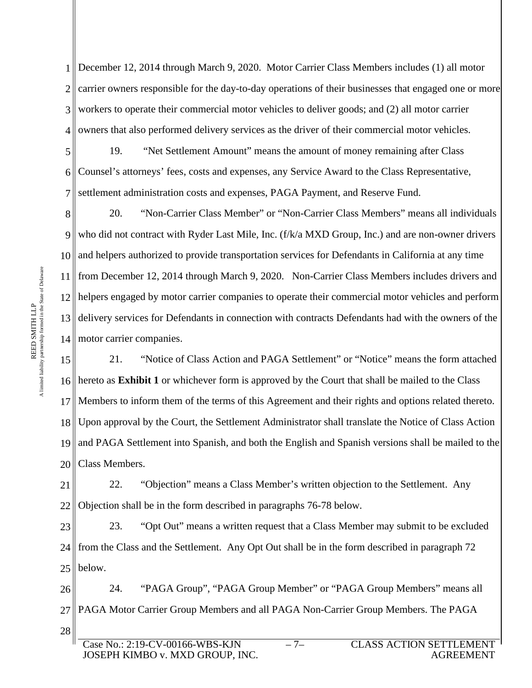1 2 3 4 December 12, 2014 through March 9, 2020. Motor Carrier Class Members includes (1) all motor carrier owners responsible for the day-to-day operations of their businesses that engaged one or more workers to operate their commercial motor vehicles to deliver goods; and (2) all motor carrier owners that also performed delivery services as the driver of their commercial motor vehicles.

5 6 7 19. "Net Settlement Amount" means the amount of money remaining after Class Counsel's attorneys' fees, costs and expenses, any Service Award to the Class Representative, settlement administration costs and expenses, PAGA Payment, and Reserve Fund.

8 9 10 11 12 13 14 motor carrier companies. 20. "Non-Carrier Class Member" or "Non-Carrier Class Members" means all individuals who did not contract with Ryder Last Mile, Inc. (f/k/a MXD Group, Inc.) and are non-owner drivers and helpers authorized to provide transportation services for Defendants in California at any time from December 12, 2014 through March 9, 2020. Non-Carrier Class Members includes drivers and helpers engaged by motor carrier companies to operate their commercial motor vehicles and perform delivery services for Defendants in connection with contracts Defendants had with the owners of the

15 16 17 18 19 20 21. "Notice of Class Action and PAGA Settlement" or "Notice" means the form attached hereto as **Exhibit 1** or whichever form is approved by the Court that shall be mailed to the Class Members to inform them of the terms of this Agreement and their rights and options related thereto. Upon approval by the Court, the Settlement Administrator shall translate the Notice of Class Action and PAGA Settlement into Spanish, and both the English and Spanish versions shall be mailed to the Class Members.

21 22 22. "Objection" means a Class Member's written objection to the Settlement. Any Objection shall be in the form described in paragraphs 76-78 below.

23 24 25 23. "Opt Out" means a written request that a Class Member may submit to be excluded from the Class and the Settlement. Any Opt Out shall be in the form described in paragraph 72 below.

26 27 28 24. "PAGA Group", "PAGA Group Member" or "PAGA Group Members" means all PAGA Motor Carrier Group Members and all PAGA Non-Carrier Group Members. The PAGA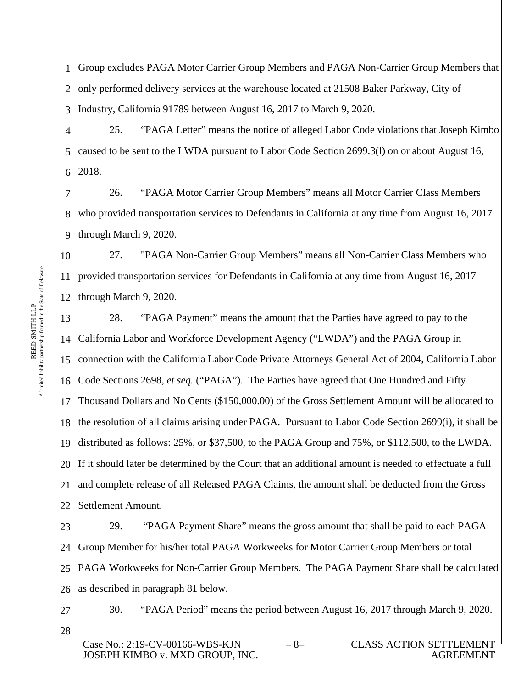1 2 3 Group excludes PAGA Motor Carrier Group Members and PAGA Non-Carrier Group Members that only performed delivery services at the warehouse located at 21508 Baker Parkway, City of Industry, California 91789 between August 16, 2017 to March 9, 2020.

4 5 6 25. "PAGA Letter" means the notice of alleged Labor Code violations that Joseph Kimbo caused to be sent to the LWDA pursuant to Labor Code Section 2699.3(l) on or about August 16, 2018.

7 8 9 26. "PAGA Motor Carrier Group Members" means all Motor Carrier Class Members who provided transportation services to Defendants in California at any time from August 16, 2017 through March 9, 2020.

10 11 12 27. "PAGA Non-Carrier Group Members" means all Non-Carrier Class Members who provided transportation services for Defendants in California at any time from August 16, 2017 through March 9, 2020.

13 14 15 16 17 18 19 20 21 22 28. "PAGA Payment" means the amount that the Parties have agreed to pay to the California Labor and Workforce Development Agency ("LWDA") and the PAGA Group in connection with the California Labor Code Private Attorneys General Act of 2004, California Labor Code Sections 2698, *et seq.* ("PAGA"). The Parties have agreed that One Hundred and Fifty Thousand Dollars and No Cents (\$150,000.00) of the Gross Settlement Amount will be allocated to the resolution of all claims arising under PAGA. Pursuant to Labor Code Section 2699(i), it shall be distributed as follows: 25%, or \$37,500, to the PAGA Group and 75%, or \$112,500, to the LWDA. If it should later be determined by the Court that an additional amount is needed to effectuate a full and complete release of all Released PAGA Claims, the amount shall be deducted from the Gross Settlement Amount.

23 24 25 26 29. "PAGA Payment Share" means the gross amount that shall be paid to each PAGA Group Member for his/her total PAGA Workweeks for Motor Carrier Group Members or total PAGA Workweeks for Non-Carrier Group Members. The PAGA Payment Share shall be calculated as described in paragraph 81 below.

27 28 30. "PAGA Period" means the period between August 16, 2017 through March 9, 2020.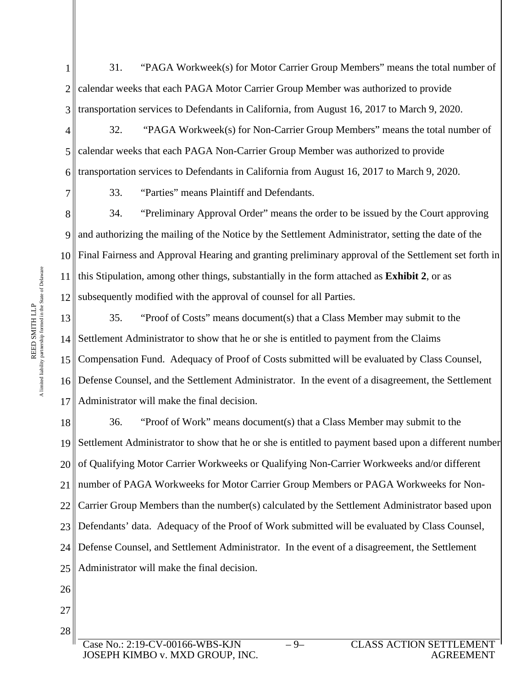1 2 3 31. "PAGA Workweek(s) for Motor Carrier Group Members" means the total number of calendar weeks that each PAGA Motor Carrier Group Member was authorized to provide transportation services to Defendants in California, from August 16, 2017 to March 9, 2020.

4 5 6 32. "PAGA Workweek(s) for Non-Carrier Group Members" means the total number of calendar weeks that each PAGA Non-Carrier Group Member was authorized to provide transportation services to Defendants in California from August 16, 2017 to March 9, 2020.

33. "Parties" means Plaintiff and Defendants.

8 9 10 11 12 34. "Preliminary Approval Order" means the order to be issued by the Court approving and authorizing the mailing of the Notice by the Settlement Administrator, setting the date of the Final Fairness and Approval Hearing and granting preliminary approval of the Settlement set forth in this Stipulation, among other things, substantially in the form attached as **Exhibit 2**, or as subsequently modified with the approval of counsel for all Parties.

13 14  $15<sub>1</sub>$ 16 17 35. "Proof of Costs" means document(s) that a Class Member may submit to the Settlement Administrator to show that he or she is entitled to payment from the Claims Compensation Fund. Adequacy of Proof of Costs submitted will be evaluated by Class Counsel, Defense Counsel, and the Settlement Administrator. In the event of a disagreement, the Settlement Administrator will make the final decision.

18 19 20 21 22 23 24 25 36. "Proof of Work" means document(s) that a Class Member may submit to the Settlement Administrator to show that he or she is entitled to payment based upon a different number of Qualifying Motor Carrier Workweeks or Qualifying Non-Carrier Workweeks and/or different number of PAGA Workweeks for Motor Carrier Group Members or PAGA Workweeks for Non-Carrier Group Members than the number(s) calculated by the Settlement Administrator based upon Defendants' data. Adequacy of the Proof of Work submitted will be evaluated by Class Counsel, Defense Counsel, and Settlement Administrator. In the event of a disagreement, the Settlement Administrator will make the final decision.

- 26
- 27 28

A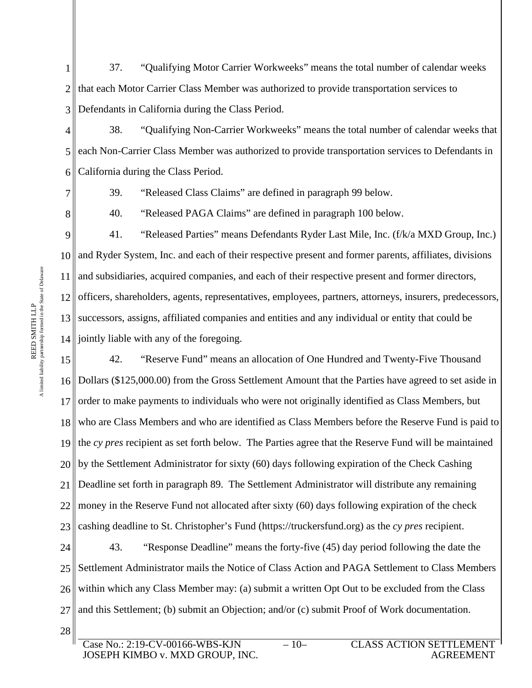1 2 3 37. "Qualifying Motor Carrier Workweeks" means the total number of calendar weeks that each Motor Carrier Class Member was authorized to provide transportation services to Defendants in California during the Class Period.

4 5 6 38. "Qualifying Non-Carrier Workweeks" means the total number of calendar weeks that each Non-Carrier Class Member was authorized to provide transportation services to Defendants in California during the Class Period.

7

39. "Released Class Claims" are defined in paragraph 99 below.

8

40. "Released PAGA Claims" are defined in paragraph 100 below.

9 10 11 12 13 14 jointly liable with any of the foregoing. 41. "Released Parties" means Defendants Ryder Last Mile, Inc. (f/k/a MXD Group, Inc.) and Ryder System, Inc. and each of their respective present and former parents, affiliates, divisions and subsidiaries, acquired companies, and each of their respective present and former directors, officers, shareholders, agents, representatives, employees, partners, attorneys, insurers, predecessors, successors, assigns, affiliated companies and entities and any individual or entity that could be

15 16 17 18 19 20 21 22 23 42. "Reserve Fund" means an allocation of One Hundred and Twenty-Five Thousand Dollars (\$125,000.00) from the Gross Settlement Amount that the Parties have agreed to set aside in order to make payments to individuals who were not originally identified as Class Members, but who are Class Members and who are identified as Class Members before the Reserve Fund is paid to the *cy pres* recipient as set forth below. The Parties agree that the Reserve Fund will be maintained by the Settlement Administrator for sixty (60) days following expiration of the Check Cashing Deadline set forth in paragraph 89. The Settlement Administrator will distribute any remaining money in the Reserve Fund not allocated after sixty (60) days following expiration of the check cashing deadline to St. Christopher's Fund (https://truckersfund.org) as the *cy pres* recipient.

24 25 26 27 43. "Response Deadline" means the forty-five (45) day period following the date the Settlement Administrator mails the Notice of Class Action and PAGA Settlement to Class Members within which any Class Member may: (a) submit a written Opt Out to be excluded from the Class and this Settlement; (b) submit an Objection; and/or (c) submit Proof of Work documentation.

28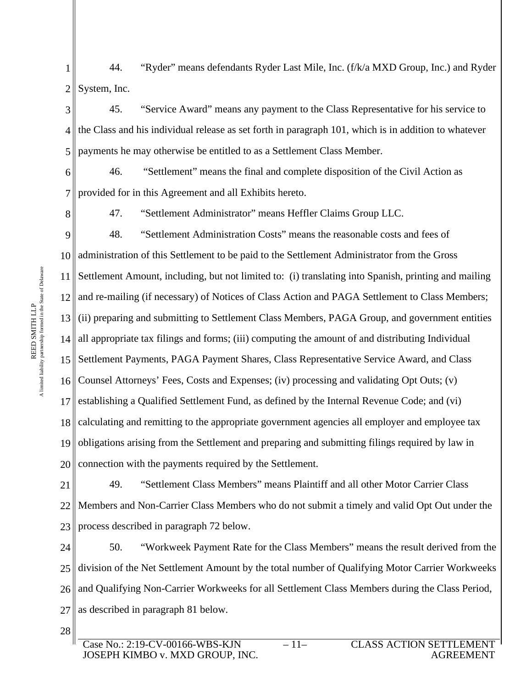1 2 44. "Ryder" means defendants Ryder Last Mile, Inc. (f/k/a MXD Group, Inc.) and Ryder System, Inc.

3 4 5 45. "Service Award" means any payment to the Class Representative for his service to the Class and his individual release as set forth in paragraph 101, which is in addition to whatever payments he may otherwise be entitled to as a Settlement Class Member.

6 7 46. "Settlement" means the final and complete disposition of the Civil Action as provided for in this Agreement and all Exhibits hereto.

8

47. "Settlement Administrator" means Heffler Claims Group LLC.

9 10 11 Settlement Amount, including, but not limited to: (i) translating into Spanish, printing and mailing 12  $13<sub>1</sub>$ 14 all appropriate tax filings and forms; (iii) computing the amount of and distributing Individual 15 Settlement Payments, PAGA Payment Shares, Class Representative Service Award, and Class 16 17 18 19 20 48. "Settlement Administration Costs" means the reasonable costs and fees of administration of this Settlement to be paid to the Settlement Administrator from the Gross and re-mailing (if necessary) of Notices of Class Action and PAGA Settlement to Class Members; (ii) preparing and submitting to Settlement Class Members, PAGA Group, and government entities Counsel Attorneys' Fees, Costs and Expenses; (iv) processing and validating Opt Outs; (v) establishing a Qualified Settlement Fund, as defined by the Internal Revenue Code; and (vi) calculating and remitting to the appropriate government agencies all employer and employee tax obligations arising from the Settlement and preparing and submitting filings required by law in connection with the payments required by the Settlement.

21 22 23 49. "Settlement Class Members" means Plaintiff and all other Motor Carrier Class Members and Non-Carrier Class Members who do not submit a timely and valid Opt Out under the process described in paragraph 72 below.

24 25 26 and Qualifying Non-Carrier Workweeks for all Settlement Class Members during the Class Period, 27 50. "Workweek Payment Rate for the Class Members" means the result derived from the division of the Net Settlement Amount by the total number of Qualifying Motor Carrier Workweeks as described in paragraph 81 below.

A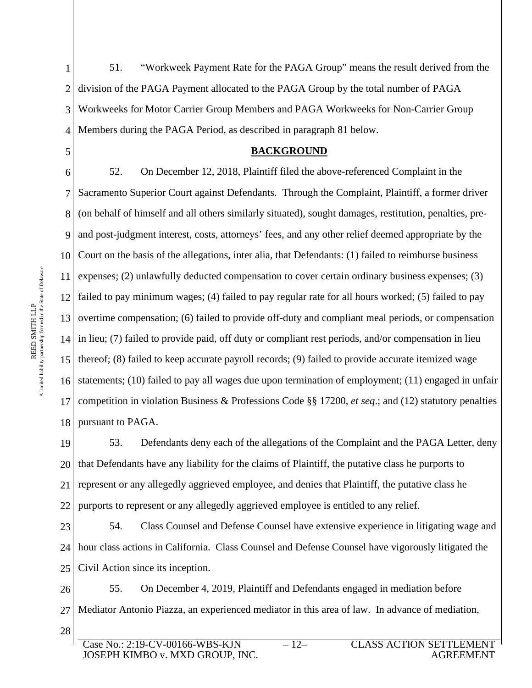2 3 4 5 6 division of the PAGA Payment allocated to the PAGA Group by the total number of PAGA Workweeks for Motor Carrier Group Members and PAGA Workweeks for Non-Carrier Group Members during the PAGA Period, as described in paragraph 81 below. **BACKGROUND** 52. On December 12, 2018, Plaintiff filed the above-referenced Complaint in the

7 8 9 10 11 12 13 14 in lieu; (7) failed to provide paid, off duty or compliant rest periods, and/or compensation in lieu 15 thereof; (8) failed to keep accurate payroll records; (9) failed to provide accurate itemized wage 16 17 18 Sacramento Superior Court against Defendants. Through the Complaint, Plaintiff, a former driver (on behalf of himself and all others similarly situated), sought damages, restitution, penalties, preand post-judgment interest, costs, attorneys' fees, and any other relief deemed appropriate by the Court on the basis of the allegations, inter alia, that Defendants: (1) failed to reimburse business expenses; (2) unlawfully deducted compensation to cover certain ordinary business expenses; (3) failed to pay minimum wages; (4) failed to pay regular rate for all hours worked; (5) failed to pay overtime compensation; (6) failed to provide off-duty and compliant meal periods, or compensation statements; (10) failed to pay all wages due upon termination of employment; (11) engaged in unfair competition in violation Business & Professions Code §§ 17200, *et seq*.; and (12) statutory penalties pursuant to PAGA.

51. "Workweek Payment Rate for the PAGA Group" means the result derived from the

19 20 21 22 53. Defendants deny each of the allegations of the Complaint and the PAGA Letter, deny that Defendants have any liability for the claims of Plaintiff, the putative class he purports to represent or any allegedly aggrieved employee, and denies that Plaintiff, the putative class he purports to represent or any allegedly aggrieved employee is entitled to any relief.

23 24 25 54. Class Counsel and Defense Counsel have extensive experience in litigating wage and hour class actions in California. Class Counsel and Defense Counsel have vigorously litigated the Civil Action since its inception.

26 27 28 55. On December 4, 2019, Plaintiff and Defendants engaged in mediation before Mediator Antonio Piazza, an experienced mediator in this area of law. In advance of mediation,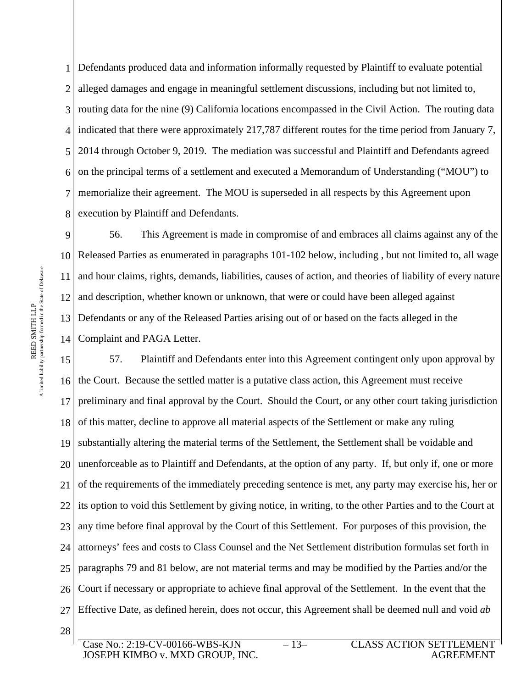1 Defendants produced data and information informally requested by Plaintiff to evaluate potential 2 3 4 indicated that there were approximately 217,787 different routes for the time period from January 7, 5 6 7 8 execution by Plaintiff and Defendants. alleged damages and engage in meaningful settlement discussions, including but not limited to, routing data for the nine (9) California locations encompassed in the Civil Action. The routing data 2014 through October 9, 2019. The mediation was successful and Plaintiff and Defendants agreed on the principal terms of a settlement and executed a Memorandum of Understanding ("MOU") to memorialize their agreement. The MOU is superseded in all respects by this Agreement upon

9 10 11 12 13 14 56. This Agreement is made in compromise of and embraces all claims against any of the Released Parties as enumerated in paragraphs 101-102 below, including , but not limited to, all wage and hour claims, rights, demands, liabilities, causes of action, and theories of liability of every nature and description, whether known or unknown, that were or could have been alleged against Defendants or any of the Released Parties arising out of or based on the facts alleged in the Complaint and PAGA Letter.

15 16 17 18 19 20 21 22 23 24 25 26 27 28 57. Plaintiff and Defendants enter into this Agreement contingent only upon approval by the Court. Because the settled matter is a putative class action, this Agreement must receive preliminary and final approval by the Court. Should the Court, or any other court taking jurisdiction of this matter, decline to approve all material aspects of the Settlement or make any ruling substantially altering the material terms of the Settlement, the Settlement shall be voidable and unenforceable as to Plaintiff and Defendants, at the option of any party. If, but only if, one or more of the requirements of the immediately preceding sentence is met, any party may exercise his, her or its option to void this Settlement by giving notice, in writing, to the other Parties and to the Court at any time before final approval by the Court of this Settlement. For purposes of this provision, the attorneys' fees and costs to Class Counsel and the Net Settlement distribution formulas set forth in paragraphs 79 and 81 below, are not material terms and may be modified by the Parties and/or the Court if necessary or appropriate to achieve final approval of the Settlement. In the event that the Effective Date, as defined herein, does not occur, this Agreement shall be deemed null and void *ab*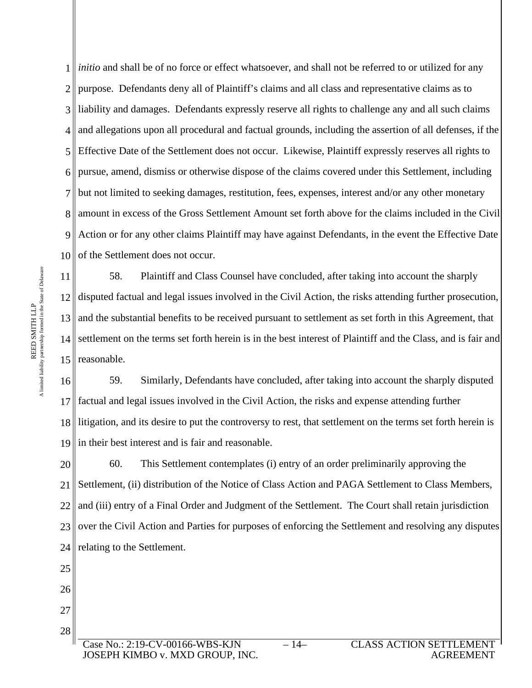1 *initio* and shall be of no force or effect whatsoever, and shall not be referred to or utilized for any 2 3 4 5 6 7 8 amount in excess of the Gross Settlement Amount set forth above for the claims included in the Civil 9 10 purpose. Defendants deny all of Plaintiff's claims and all class and representative claims as to liability and damages. Defendants expressly reserve all rights to challenge any and all such claims and allegations upon all procedural and factual grounds, including the assertion of all defenses, if the Effective Date of the Settlement does not occur. Likewise, Plaintiff expressly reserves all rights to pursue, amend, dismiss or otherwise dispose of the claims covered under this Settlement, including but not limited to seeking damages, restitution, fees, expenses, interest and/or any other monetary Action or for any other claims Plaintiff may have against Defendants, in the event the Effective Date of the Settlement does not occur.

11 12 disputed factual and legal issues involved in the Civil Action, the risks attending further prosecution, 13 14 settlement on the terms set forth herein is in the best interest of Plaintiff and the Class, and is fair and 15 | reasonable. 58. Plaintiff and Class Counsel have concluded, after taking into account the sharply and the substantial benefits to be received pursuant to settlement as set forth in this Agreement, that

16 17 18 19 59. Similarly, Defendants have concluded, after taking into account the sharply disputed factual and legal issues involved in the Civil Action, the risks and expense attending further llitigation, and its desire to put the controversy to rest, that settlement on the terms set forth herein is in their best interest and is fair and reasonable.

20 21 22 23 24 60. This Settlement contemplates (i) entry of an order preliminarily approving the Settlement, (ii) distribution of the Notice of Class Action and PAGA Settlement to Class Members, and (iii) entry of a Final Order and Judgment of the Settlement. The Court shall retain jurisdiction over the Civil Action and Parties for purposes of enforcing the Settlement and resolving any disputes relating to the Settlement.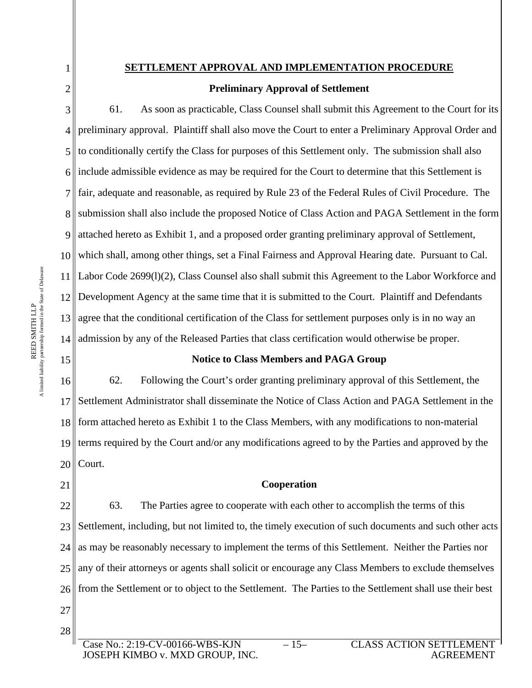# **SETTLEMENT APPROVAL AND IMPLEMENTATION PROCEDURE**

# **Preliminary Approval of Settlement**

3 4 5 6 7 8 submission shall also include the proposed Notice of Class Action and PAGA Settlement in the form 9 10 11 12 13 14 61. As soon as practicable, Class Counsel shall submit this Agreement to the Court for its preliminary approval. Plaintiff shall also move the Court to enter a Preliminary Approval Order and to conditionally certify the Class for purposes of this Settlement only. The submission shall also include admissible evidence as may be required for the Court to determine that this Settlement is fair, adequate and reasonable, as required by Rule 23 of the Federal Rules of Civil Procedure. The attached hereto as Exhibit 1, and a proposed order granting preliminary approval of Settlement, which shall, among other things, set a Final Fairness and Approval Hearing date. Pursuant to Cal. Labor Code 2699(l)(2), Class Counsel also shall submit this Agreement to the Labor Workforce and Development Agency at the same time that it is submitted to the Court. Plaintiff and Defendants agree that the conditional certification of the Class for settlement purposes only is in no way an admission by any of the Released Parties that class certification would otherwise be proper.

# **Notice to Class Members and PAGA Group**

16 17 18 19 20 62. Following the Court's order granting preliminary approval of this Settlement, the Settlement Administrator shall disseminate the Notice of Class Action and PAGA Settlement in the form attached hereto as Exhibit 1 to the Class Members, with any modifications to non-material terms required by the Court and/or any modifications agreed to by the Parties and approved by the Court.

21

15

# **Cooperation**

22 23 24 25 26 27 63. The Parties agree to cooperate with each other to accomplish the terms of this Settlement, including, but not limited to, the timely execution of such documents and such other acts as may be reasonably necessary to implement the terms of this Settlement. Neither the Parties nor any of their attorneys or agents shall solicit or encourage any Class Members to exclude themselves from the Settlement or to object to the Settlement. The Parties to the Settlement shall use their best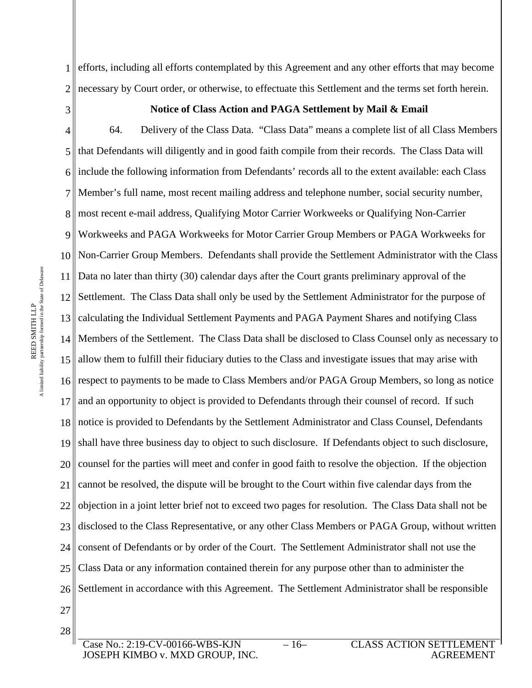1 2 efforts, including all efforts contemplated by this Agreement and any other efforts that may become necessary by Court order, or otherwise, to effectuate this Settlement and the terms set forth herein.

3

#### **Notice of Class Action and PAGA Settlement by Mail & Email**

4 5 6 7 8 most recent e-mail address, Qualifying Motor Carrier Workweeks or Qualifying Non-Carrier 9 10 11 12 13 14 Members of the Settlement. The Class Data shall be disclosed to Class Counsel only as necessary to 15 allow them to fulfill their fiduciary duties to the Class and investigate issues that may arise with 16 17 18 19 20 21 22 23 24 25 26 64. Delivery of the Class Data. "Class Data" means a complete list of all Class Members that Defendants will diligently and in good faith compile from their records. The Class Data will include the following information from Defendants' records all to the extent available: each Class Member's full name, most recent mailing address and telephone number, social security number, Workweeks and PAGA Workweeks for Motor Carrier Group Members or PAGA Workweeks for Non-Carrier Group Members. Defendants shall provide the Settlement Administrator with the Class Data no later than thirty (30) calendar days after the Court grants preliminary approval of the Settlement. The Class Data shall only be used by the Settlement Administrator for the purpose of calculating the Individual Settlement Payments and PAGA Payment Shares and notifying Class respect to payments to be made to Class Members and/or PAGA Group Members, so long as notice and an opportunity to object is provided to Defendants through their counsel of record. If such notice is provided to Defendants by the Settlement Administrator and Class Counsel, Defendants shall have three business day to object to such disclosure. If Defendants object to such disclosure, counsel for the parties will meet and confer in good faith to resolve the objection. If the objection cannot be resolved, the dispute will be brought to the Court within five calendar days from the objection in a joint letter brief not to exceed two pages for resolution. The Class Data shall not be disclosed to the Class Representative, or any other Class Members or PAGA Group, without written consent of Defendants or by order of the Court. The Settlement Administrator shall not use the Class Data or any information contained therein for any purpose other than to administer the Settlement in accordance with this Agreement. The Settlement Administrator shall be responsible

27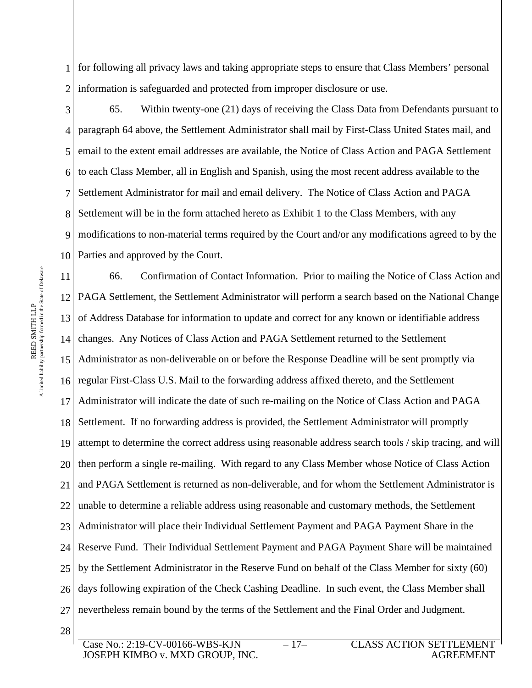1 for following all privacy laws and taking appropriate steps to ensure that Class Members' personal 2 information is safeguarded and protected from improper disclosure or use.

3 4 5 6 7 8 Settlement will be in the form attached hereto as Exhibit 1 to the Class Members, with any 9 10 65. Within twenty-one (21) days of receiving the Class Data from Defendants pursuant to paragraph 64 above, the Settlement Administrator shall mail by First-Class United States mail, and email to the extent email addresses are available, the Notice of Class Action and PAGA Settlement to each Class Member, all in English and Spanish, using the most recent address available to the Settlement Administrator for mail and email delivery. The Notice of Class Action and PAGA modifications to non-material terms required by the Court and/or any modifications agreed to by the Parties and approved by the Court.

11 12 PAGA Settlement, the Settlement Administrator will perform a search based on the National Change 13 14 15 Administrator as non-deliverable on or before the Response Deadline will be sent promptly via 16 17 18 19 20 21 22 23 24 25 26 27 66. Confirmation of Contact Information. Prior to mailing the Notice of Class Action and of Address Database for information to update and correct for any known or identifiable address changes. Any Notices of Class Action and PAGA Settlement returned to the Settlement regular First-Class U.S. Mail to the forwarding address affixed thereto, and the Settlement Administrator will indicate the date of such re-mailing on the Notice of Class Action and PAGA Settlement. If no forwarding address is provided, the Settlement Administrator will promptly attempt to determine the correct address using reasonable address search tools / skip tracing, and will then perform a single re-mailing. With regard to any Class Member whose Notice of Class Action and PAGA Settlement is returned as non-deliverable, and for whom the Settlement Administrator is unable to determine a reliable address using reasonable and customary methods, the Settlement Administrator will place their Individual Settlement Payment and PAGA Payment Share in the Reserve Fund. Their Individual Settlement Payment and PAGA Payment Share will be maintained by the Settlement Administrator in the Reserve Fund on behalf of the Class Member for sixty (60) days following expiration of the Check Cashing Deadline. In such event, the Class Member shall nevertheless remain bound by the terms of the Settlement and the Final Order and Judgment.

A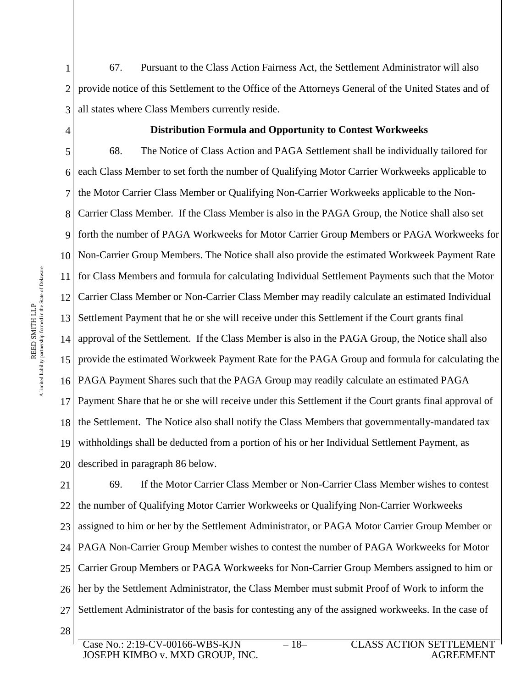1 2 3 67. Pursuant to the Class Action Fairness Act, the Settlement Administrator will also provide notice of this Settlement to the Office of the Attorneys General of the United States and of all states where Class Members currently reside.

4

#### **Distribution Formula and Opportunity to Contest Workweeks**

5 6 7 8 Carrier Class Member. If the Class Member is also in the PAGA Group, the Notice shall also set 9 10 11 12 13 14 approval of the Settlement. If the Class Member is also in the PAGA Group, the Notice shall also 15 provide the estimated Workweek Payment Rate for the PAGA Group and formula for calculating the 16 17 18 19 20 68. The Notice of Class Action and PAGA Settlement shall be individually tailored for each Class Member to set forth the number of Qualifying Motor Carrier Workweeks applicable to the Motor Carrier Class Member or Qualifying Non-Carrier Workweeks applicable to the Nonforth the number of PAGA Workweeks for Motor Carrier Group Members or PAGA Workweeks for Non-Carrier Group Members. The Notice shall also provide the estimated Workweek Payment Rate for Class Members and formula for calculating Individual Settlement Payments such that the Motor Carrier Class Member or Non-Carrier Class Member may readily calculate an estimated Individual Settlement Payment that he or she will receive under this Settlement if the Court grants final PAGA Payment Shares such that the PAGA Group may readily calculate an estimated PAGA Payment Share that he or she will receive under this Settlement if the Court grants final approval of the Settlement. The Notice also shall notify the Class Members that governmentally-mandated tax withholdings shall be deducted from a portion of his or her Individual Settlement Payment, as described in paragraph 86 below.

21 22 23 24 25 26 her by the Settlement Administrator, the Class Member must submit Proof of Work to inform the 27 28 69. If the Motor Carrier Class Member or Non-Carrier Class Member wishes to contest the number of Qualifying Motor Carrier Workweeks or Qualifying Non-Carrier Workweeks assigned to him or her by the Settlement Administrator, or PAGA Motor Carrier Group Member or PAGA Non-Carrier Group Member wishes to contest the number of PAGA Workweeks for Motor Carrier Group Members or PAGA Workweeks for Non-Carrier Group Members assigned to him or Settlement Administrator of the basis for contesting any of the assigned workweeks. In the case of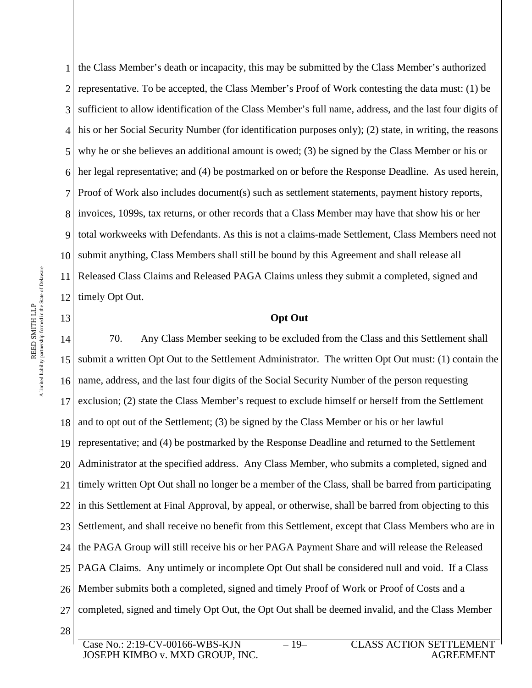1 the Class Member's death or incapacity, this may be submitted by the Class Member's authorized 2 3 4 5 6 7 8 invoices, 1099s, tax returns, or other records that a Class Member may have that show his or her 9 10 11 12 representative. To be accepted, the Class Member's Proof of Work contesting the data must: (1) be sufficient to allow identification of the Class Member's full name, address, and the last four digits of his or her Social Security Number (for identification purposes only); (2) state, in writing, the reasons why he or she believes an additional amount is owed; (3) be signed by the Class Member or his or her legal representative; and (4) be postmarked on or before the Response Deadline. As used herein, Proof of Work also includes document(s) such as settlement statements, payment history reports, total workweeks with Defendants. As this is not a claims-made Settlement, Class Members need not submit anything, Class Members shall still be bound by this Agreement and shall release all Released Class Claims and Released PAGA Claims unless they submit a completed, signed and timely Opt Out.

# **Opt Out**

14 15 16 17 18 19 20 21 22 23 24 25 26 27 28 70. Any Class Member seeking to be excluded from the Class and this Settlement shall submit a written Opt Out to the Settlement Administrator. The written Opt Out must: (1) contain the name, address, and the last four digits of the Social Security Number of the person requesting exclusion; (2) state the Class Member's request to exclude himself or herself from the Settlement and to opt out of the Settlement; (3) be signed by the Class Member or his or her lawful representative; and (4) be postmarked by the Response Deadline and returned to the Settlement Administrator at the specified address. Any Class Member, who submits a completed, signed and timely written Opt Out shall no longer be a member of the Class, shall be barred from participating in this Settlement at Final Approval, by appeal, or otherwise, shall be barred from objecting to this Settlement, and shall receive no benefit from this Settlement, except that Class Members who are in the PAGA Group will still receive his or her PAGA Payment Share and will release the Released PAGA Claims. Any untimely or incomplete Opt Out shall be considered null and void. If a Class Member submits both a completed, signed and timely Proof of Work or Proof of Costs and a completed, signed and timely Opt Out, the Opt Out shall be deemed invalid, and the Class Member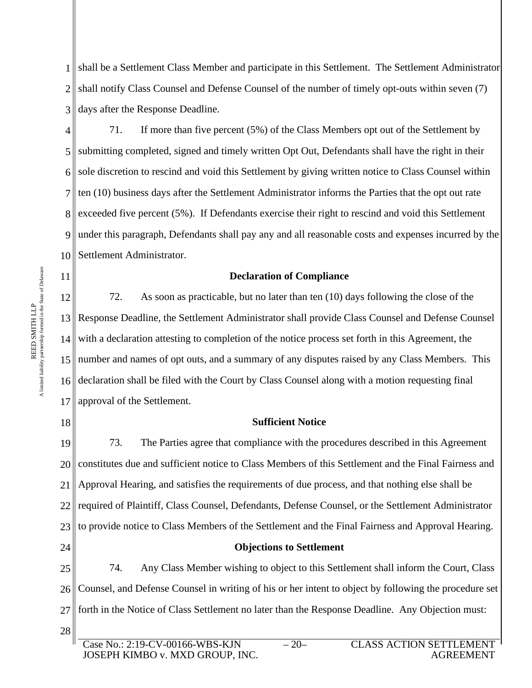1 2 3 shall be a Settlement Class Member and participate in this Settlement. The Settlement Administrator shall notify Class Counsel and Defense Counsel of the number of timely opt-outs within seven (7) days after the Response Deadline.

4 5 6 7 8 exceeded five percent (5%). If Defendants exercise their right to rescind and void this Settlement 9 10 71. If more than five percent (5%) of the Class Members opt out of the Settlement by submitting completed, signed and timely written Opt Out, Defendants shall have the right in their sole discretion to rescind and void this Settlement by giving written notice to Class Counsel within ten (10) business days after the Settlement Administrator informs the Parties that the opt out rate under this paragraph, Defendants shall pay any and all reasonable costs and expenses incurred by the Settlement Administrator.

# **Declaration of Compliance**

12 13 Response Deadline, the Settlement Administrator shall provide Class Counsel and Defense Counsel 15 number and names of opt outs, and a summary of any disputes raised by any Class Members. This 72. As soon as practicable, but no later than ten (10) days following the close of the with a declaration attesting to completion of the notice process set forth in this Agreement, the declaration shall be filed with the Court by Class Counsel along with a motion requesting final approval of the Settlement.

#### **Sufficient Notice**

19 20 21 22 23 24 25 73. The Parties agree that compliance with the procedures described in this Agreement constitutes due and sufficient notice to Class Members of this Settlement and the Final Fairness and Approval Hearing, and satisfies the requirements of due process, and that nothing else shall be required of Plaintiff, Class Counsel, Defendants, Defense Counsel, or the Settlement Administrator to provide notice to Class Members of the Settlement and the Final Fairness and Approval Hearing. **Objections to Settlement**  74. Any Class Member wishing to object to this Settlement shall inform the Court, Class Counsel, and Defense Counsel in writing of his or her intent to object by following the procedure set

forth in the Notice of Class Settlement no later than the Response Deadline. Any Objection must:

26

27

28

11

Case No.: 2:19-CV-00166-WBS-KJN JOSEPH KIMBO v. MXD GROUP, INC.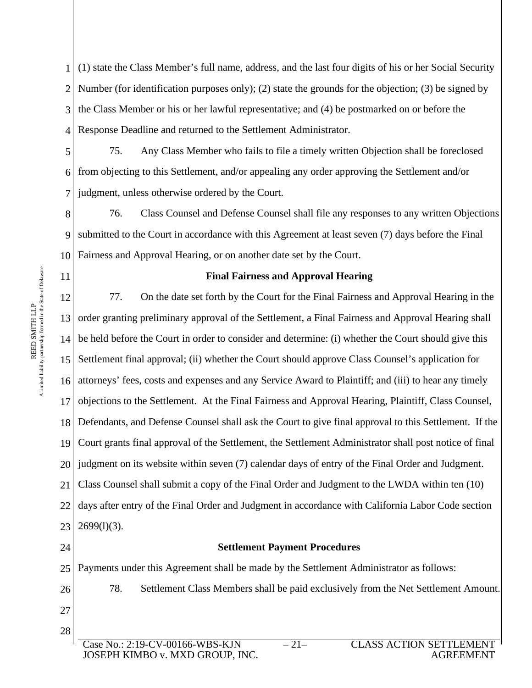1 (1) state the Class Member's full name, address, and the last four digits of his or her Social Security 2 Number (for identification purposes only); (2) state the grounds for the objection; (3) be signed by 3 the Class Member or his or her lawful representative; and (4) be postmarked on or before the 4 II Response Deadline and returned to the Settlement Administrator.

5 6 7 75. Any Class Member who fails to file a timely written Objection shall be foreclosed from objecting to this Settlement, and/or appealing any order approving the Settlement and/or judgment, unless otherwise ordered by the Court.

8 9 10 76. Class Counsel and Defense Counsel shall file any responses to any written Objections submitted to the Court in accordance with this Agreement at least seven (7) days before the Final Fairness and Approval Hearing, or on another date set by the Court.

# **Final Fairness and Approval Hearing**

12 13 order granting preliminary approval of the Settlement, a Final Fairness and Approval Hearing shall 14 be held before the Court in order to consider and determine: (i) whether the Court should give this 15 Settlement final approval; (ii) whether the Court should approve Class Counsel's application for 16 17 18 19 20 21 22 23 77. On the date set forth by the Court for the Final Fairness and Approval Hearing in the attorneys' fees, costs and expenses and any Service Award to Plaintiff; and (iii) to hear any timely objections to the Settlement. At the Final Fairness and Approval Hearing, Plaintiff, Class Counsel, Defendants, and Defense Counsel shall ask the Court to give final approval to this Settlement. If the Court grants final approval of the Settlement, the Settlement Administrator shall post notice of final judgment on its website within seven (7) calendar days of entry of the Final Order and Judgment. Class Counsel shall submit a copy of the Final Order and Judgment to the LWDA within ten (10) days after entry of the Final Order and Judgment in accordance with California Labor Code section  $2699(1)(3)$ .

24

# **Settlement Payment Procedures**

25 Payments under this Agreement shall be made by the Settlement Administrator as follows:

26 27 78. Settlement Class Members shall be paid exclusively from the Net Settlement Amount.

28

A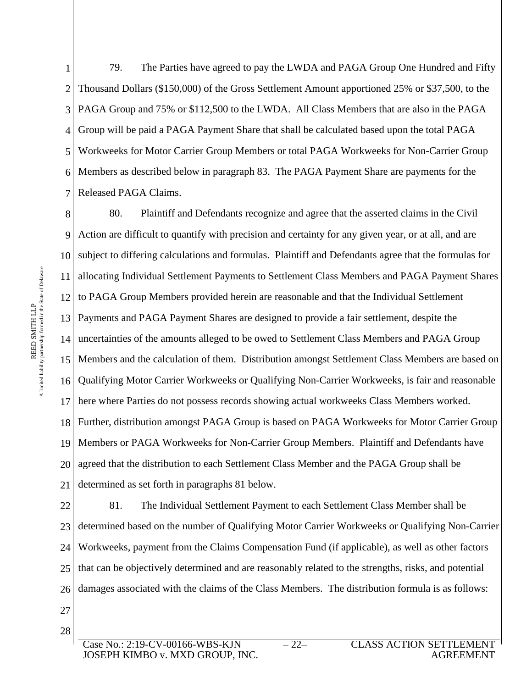1 2 3 4 5 6 7 79. The Parties have agreed to pay the LWDA and PAGA Group One Hundred and Fifty Thousand Dollars (\$150,000) of the Gross Settlement Amount apportioned 25% or \$37,500, to the PAGA Group and 75% or \$112,500 to the LWDA. All Class Members that are also in the PAGA Group will be paid a PAGA Payment Share that shall be calculated based upon the total PAGA Workweeks for Motor Carrier Group Members or total PAGA Workweeks for Non-Carrier Group Members as described below in paragraph 83. The PAGA Payment Share are payments for the Released PAGA Claims.

8 9 10 11 12 13 14 uncertainties of the amounts alleged to be owed to Settlement Class Members and PAGA Group 15 Members and the calculation of them. Distribution amongst Settlement Class Members are based on 16 17 18 19 20 21 80. Plaintiff and Defendants recognize and agree that the asserted claims in the Civil Action are difficult to quantify with precision and certainty for any given year, or at all, and are subject to differing calculations and formulas. Plaintiff and Defendants agree that the formulas for allocating Individual Settlement Payments to Settlement Class Members and PAGA Payment Shares to PAGA Group Members provided herein are reasonable and that the Individual Settlement Payments and PAGA Payment Shares are designed to provide a fair settlement, despite the Qualifying Motor Carrier Workweeks or Qualifying Non-Carrier Workweeks, is fair and reasonable here where Parties do not possess records showing actual workweeks Class Members worked. Further, distribution amongst PAGA Group is based on PAGA Workweeks for Motor Carrier Group Members or PAGA Workweeks for Non-Carrier Group Members. Plaintiff and Defendants have agreed that the distribution to each Settlement Class Member and the PAGA Group shall be determined as set forth in paragraphs 81 below.

22 23 24 25 26 81. The Individual Settlement Payment to each Settlement Class Member shall be determined based on the number of Qualifying Motor Carrier Workweeks or Qualifying Non-Carrier Workweeks, payment from the Claims Compensation Fund (if applicable), as well as other factors that can be objectively determined and are reasonably related to the strengths, risks, and potential damages associated with the claims of the Class Members. The distribution formula is as follows:

27 28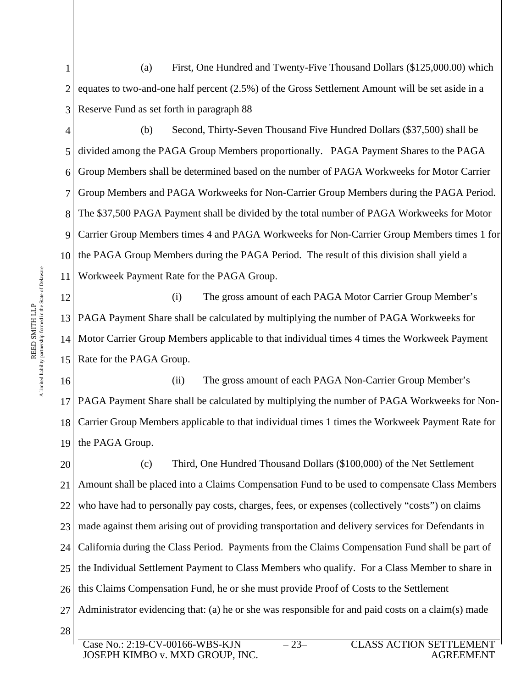1 2 3 (a) First, One Hundred and Twenty-Five Thousand Dollars (\$125,000.00) which equates to two-and-one half percent (2.5%) of the Gross Settlement Amount will be set aside in a Reserve Fund as set forth in paragraph 88

4

5 6 7 8 9 10 11 (b) Second, Thirty-Seven Thousand Five Hundred Dollars (\$37,500) shall be divided among the PAGA Group Members proportionally. PAGA Payment Shares to the PAGA Group Members shall be determined based on the number of PAGA Workweeks for Motor Carrier Group Members and PAGA Workweeks for Non-Carrier Group Members during the PAGA Period. The \$37,500 PAGA Payment shall be divided by the total number of PAGA Workweeks for Motor Carrier Group Members times 4 and PAGA Workweeks for Non-Carrier Group Members times 1 for the PAGA Group Members during the PAGA Period. The result of this division shall yield a Workweek Payment Rate for the PAGA Group.

12 13 PAGA Payment Share shall be calculated by multiplying the number of PAGA Workweeks for 14 Motor Carrier Group Members applicable to that individual times 4 times the Workweek Payment 15 Rate for the PAGA Group. (i) The gross amount of each PAGA Motor Carrier Group Member's

16 17 18 19 (ii) The gross amount of each PAGA Non-Carrier Group Member's PAGA Payment Share shall be calculated by multiplying the number of PAGA Workweeks for Non-Carrier Group Members applicable to that individual times 1 times the Workweek Payment Rate for the PAGA Group.

20 21 22 23 24 25 26 27 28 (c) Third, One Hundred Thousand Dollars (\$100,000) of the Net Settlement Amount shall be placed into a Claims Compensation Fund to be used to compensate Class Members who have had to personally pay costs, charges, fees, or expenses (collectively "costs") on claims made against them arising out of providing transportation and delivery services for Defendants in California during the Class Period. Payments from the Claims Compensation Fund shall be part of the Individual Settlement Payment to Class Members who qualify. For a Class Member to share in this Claims Compensation Fund, he or she must provide Proof of Costs to the Settlement Administrator evidencing that: (a) he or she was responsible for and paid costs on a claim(s) made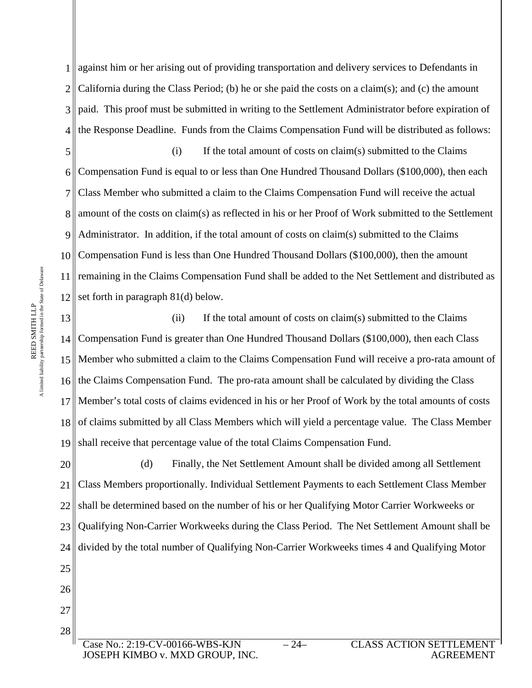1 against him or her arising out of providing transportation and delivery services to Defendants in 2 3 4 the Response Deadline. Funds from the Claims Compensation Fund will be distributed as follows: California during the Class Period; (b) he or she paid the costs on a claim(s); and (c) the amount paid. This proof must be submitted in writing to the Settlement Administrator before expiration of

5 6 7 8 amount of the costs on claim(s) as reflected in his or her Proof of Work submitted to the Settlement 9 10 11 12 (i) If the total amount of costs on claim(s) submitted to the Claims Compensation Fund is equal to or less than One Hundred Thousand Dollars (\$100,000), then each Class Member who submitted a claim to the Claims Compensation Fund will receive the actual Administrator. In addition, if the total amount of costs on claim(s) submitted to the Claims Compensation Fund is less than One Hundred Thousand Dollars (\$100,000), then the amount remaining in the Claims Compensation Fund shall be added to the Net Settlement and distributed as set forth in paragraph 81(d) below.

13 14 15 Member who submitted a claim to the Claims Compensation Fund will receive a pro-rata amount of 16 17 18 19 (ii) If the total amount of costs on claim(s) submitted to the Claims Compensation Fund is greater than One Hundred Thousand Dollars (\$100,000), then each Class the Claims Compensation Fund. The pro-rata amount shall be calculated by dividing the Class Member's total costs of claims evidenced in his or her Proof of Work by the total amounts of costs of claims submitted by all Class Members which will yield a percentage value. The Class Member shall receive that percentage value of the total Claims Compensation Fund.

20 21 22 23 24 25 (d) Finally, the Net Settlement Amount shall be divided among all Settlement Class Members proportionally. Individual Settlement Payments to each Settlement Class Member shall be determined based on the number of his or her Qualifying Motor Carrier Workweeks or Qualifying Non-Carrier Workweeks during the Class Period. The Net Settlement Amount shall be divided by the total number of Qualifying Non-Carrier Workweeks times 4 and Qualifying Motor

27 28 Case No.: 2:19-CV-00166-WBS-KJN JOSEPH KIMBO v. MXD GROUP, INC.

A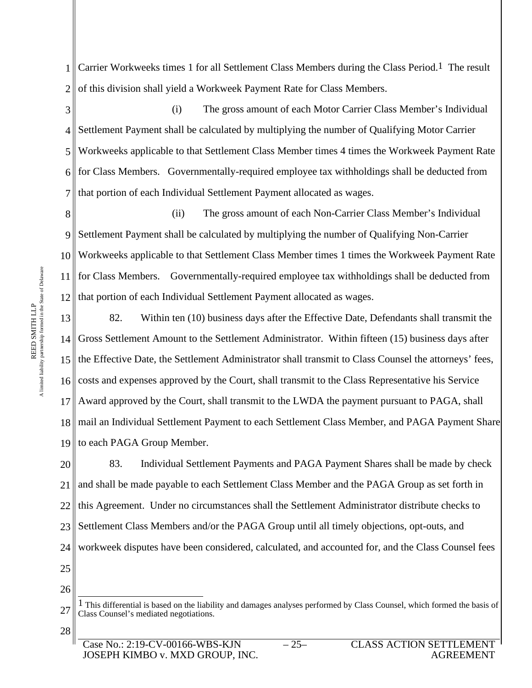1 2 Carrier Workweeks times 1 for all Settlement Class Members during the Class Period.1 The result of this division shall yield a Workweek Payment Rate for Class Members.

3 4 5 6 7 (i) The gross amount of each Motor Carrier Class Member's Individual Settlement Payment shall be calculated by multiplying the number of Qualifying Motor Carrier Workweeks applicable to that Settlement Class Member times 4 times the Workweek Payment Rate for Class Members. Governmentally-required employee tax withholdings shall be deducted from that portion of each Individual Settlement Payment allocated as wages.

8 9 10 11 12 (ii) The gross amount of each Non-Carrier Class Member's Individual Settlement Payment shall be calculated by multiplying the number of Qualifying Non-Carrier Workweeks applicable to that Settlement Class Member times 1 times the Workweek Payment Rate for Class Members. Governmentally-required employee tax withholdings shall be deducted from that portion of each Individual Settlement Payment allocated as wages.

13 14 Gross Settlement Amount to the Settlement Administrator. Within fifteen (15) business days after 15 the Effective Date, the Settlement Administrator shall transmit to Class Counsel the attorneys' fees, 16 17 18 19 82. Within ten (10) business days after the Effective Date, Defendants shall transmit the costs and expenses approved by the Court, shall transmit to the Class Representative his Service Award approved by the Court, shall transmit to the LWDA the payment pursuant to PAGA, shall mail an Individual Settlement Payment to each Settlement Class Member, and PAGA Payment Share to each PAGA Group Member.

20 21 22 23 24 25 83. Individual Settlement Payments and PAGA Payment Shares shall be made by check and shall be made payable to each Settlement Class Member and the PAGA Group as set forth in this Agreement. Under no circumstances shall the Settlement Administrator distribute checks to Settlement Class Members and/or the PAGA Group until all timely objections, opt-outs, and workweek disputes have been considered, calculated, and accounted for, and the Class Counsel fees

26

<sup>27</sup> <sup>1</sup> This differential is based on the liability and damages analyses performed by Class Counsel, which formed the basis of Class Counsel's mediated negotiations.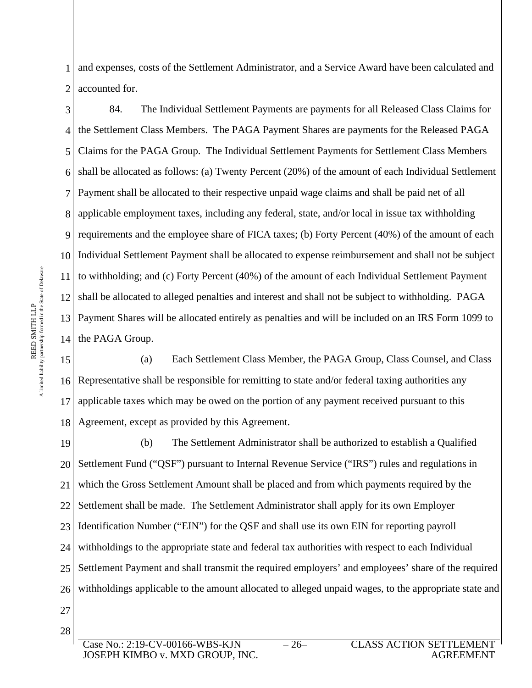1 2 and expenses, costs of the Settlement Administrator, and a Service Award have been calculated and accounted for.

3 4 5 6 7 8 applicable employment taxes, including any federal, state, and/or local in issue tax withholding 9 10 11 12  $13<sup>||</sup>$ 14 the PAGA Group. 84. The Individual Settlement Payments are payments for all Released Class Claims for the Settlement Class Members. The PAGA Payment Shares are payments for the Released PAGA Claims for the PAGA Group. The Individual Settlement Payments for Settlement Class Members shall be allocated as follows: (a) Twenty Percent (20%) of the amount of each Individual Settlement Payment shall be allocated to their respective unpaid wage claims and shall be paid net of all requirements and the employee share of FICA taxes; (b) Forty Percent  $(40%)$  of the amount of each Individual Settlement Payment shall be allocated to expense reimbursement and shall not be subject to withholding; and (c) Forty Percent (40%) of the amount of each Individual Settlement Payment shall be allocated to alleged penalties and interest and shall not be subject to withholding. PAGA Payment Shares will be allocated entirely as penalties and will be included on an IRS Form 1099 to

15 16 17 18 (a) Each Settlement Class Member, the PAGA Group, Class Counsel, and Class Representative shall be responsible for remitting to state and/or federal taxing authorities any applicable taxes which may be owed on the portion of any payment received pursuant to this Agreement, except as provided by this Agreement.

19 20 21 22 23 24 25 26 (b) The Settlement Administrator shall be authorized to establish a Qualified Settlement Fund ("QSF") pursuant to Internal Revenue Service ("IRS") rules and regulations in which the Gross Settlement Amount shall be placed and from which payments required by the Settlement shall be made. The Settlement Administrator shall apply for its own Employer Identification Number ("EIN") for the QSF and shall use its own EIN for reporting payroll withholdings to the appropriate state and federal tax authorities with respect to each Individual Settlement Payment and shall transmit the required employers' and employees' share of the required withholdings applicable to the amount allocated to alleged unpaid wages, to the appropriate state and

A

R E E D SMIT H

limited liability partnership formed in the State of Delaware

e<br>E

Case No.: 2:19-CV-00166-WBS-KJN JOSEPH KIMBO v. MXD GROUP, INC.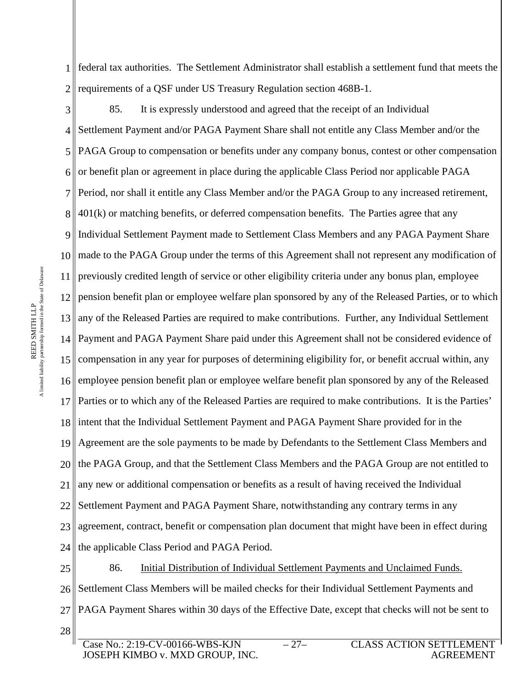1 2 federal tax authorities. The Settlement Administrator shall establish a settlement fund that meets the requirements of a QSF under US Treasury Regulation section 468B-1.

3

4 5 6 7  $8 \parallel 401(k)$  or matching benefits, or deferred compensation benefits. The Parties agree that any 9 10 made to the PAGA Group under the terms of this Agreement shall not represent any modification of 11 12 13 any of the Released Parties are required to make contributions. Further, any Individual Settlement 14 Payment and PAGA Payment Share paid under this Agreement shall not be considered evidence of 15 compensation in any year for purposes of determining eligibility for, or benefit accrual within, any 16 17 18 19 20 21 22 23 24 85. It is expressly understood and agreed that the receipt of an Individual Settlement Payment and/or PAGA Payment Share shall not entitle any Class Member and/or the PAGA Group to compensation or benefits under any company bonus, contest or other compensation or benefit plan or agreement in place during the applicable Class Period nor applicable PAGA Period, nor shall it entitle any Class Member and/or the PAGA Group to any increased retirement, Individual Settlement Payment made to Settlement Class Members and any PAGA Payment Share previously credited length of service or other eligibility criteria under any bonus plan, employee pension benefit plan or employee welfare plan sponsored by any of the Released Parties, or to which employee pension benefit plan or employee welfare benefit plan sponsored by any of the Released Parties or to which any of the Released Parties are required to make contributions. It is the Parties' intent that the Individual Settlement Payment and PAGA Payment Share provided for in the Agreement are the sole payments to be made by Defendants to the Settlement Class Members and the PAGA Group, and that the Settlement Class Members and the PAGA Group are not entitled to any new or additional compensation or benefits as a result of having received the Individual Settlement Payment and PAGA Payment Share, notwithstanding any contrary terms in any agreement, contract, benefit or compensation plan document that might have been in effect during the applicable Class Period and PAGA Period.

25 26 27 28 86. Initial Distribution of Individual Settlement Payments and Unclaimed Funds. Settlement Class Members will be mailed checks for their Individual Settlement Payments and PAGA Payment Shares within 30 days of the Effective Date, except that checks will not be sent to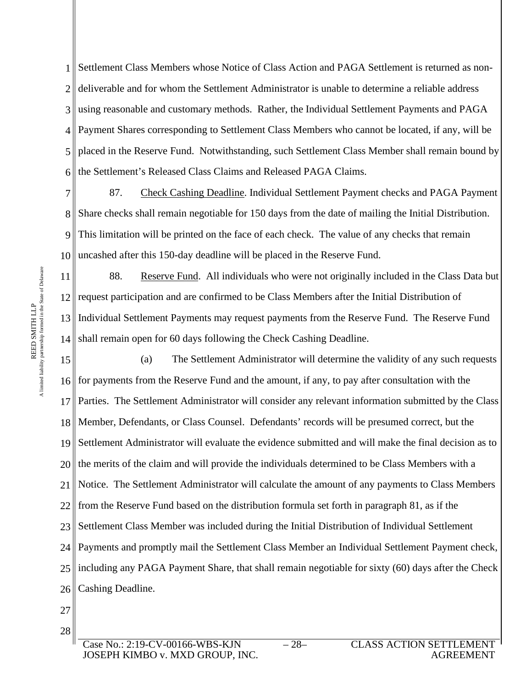1 2 3 4 5 6 Settlement Class Members whose Notice of Class Action and PAGA Settlement is returned as nondeliverable and for whom the Settlement Administrator is unable to determine a reliable address using reasonable and customary methods. Rather, the Individual Settlement Payments and PAGA Payment Shares corresponding to Settlement Class Members who cannot be located, if any, will be placed in the Reserve Fund. Notwithstanding, such Settlement Class Member shall remain bound by the Settlement's Released Class Claims and Released PAGA Claims.

7 8 9 10 87. Check Cashing Deadline. Individual Settlement Payment checks and PAGA Payment Share checks shall remain negotiable for 150 days from the date of mailing the Initial Distribution. This limitation will be printed on the face of each check. The value of any checks that remain uncashed after this 150-day deadline will be placed in the Reserve Fund.

11 12 request participation and are confirmed to be Class Members after the Initial Distribution of  $13<sup>||</sup>$  $14<sub>1</sub>$ 88. Reserve Fund. All individuals who were not originally included in the Class Data but Individual Settlement Payments may request payments from the Reserve Fund. The Reserve Fund shall remain open for 60 days following the Check Cashing Deadline.

15 16 for payments from the Reserve Fund and the amount, if any, to pay after consultation with the 17 18 19 20 21 22 23 24 25 26 (a) The Settlement Administrator will determine the validity of any such requests Parties. The Settlement Administrator will consider any relevant information submitted by the Class Member, Defendants, or Class Counsel. Defendants' records will be presumed correct, but the Settlement Administrator will evaluate the evidence submitted and will make the final decision as to the merits of the claim and will provide the individuals determined to be Class Members with a Notice. The Settlement Administrator will calculate the amount of any payments to Class Members from the Reserve Fund based on the distribution formula set forth in paragraph 81, as if the Settlement Class Member was included during the Initial Distribution of Individual Settlement Payments and promptly mail the Settlement Class Member an Individual Settlement Payment check, including any PAGA Payment Share, that shall remain negotiable for sixty (60) days after the Check Cashing Deadline.

- 27
- 28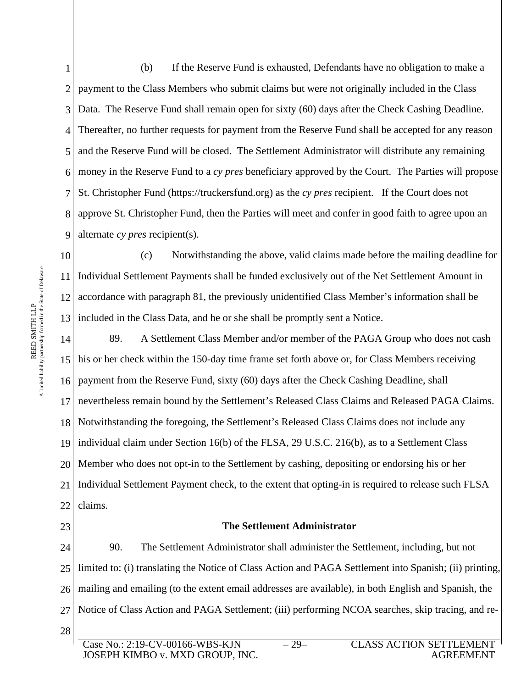1 2 3 4 5 6 7 8 approve St. Christopher Fund, then the Parties will meet and confer in good faith to agree upon an 9 (b) If the Reserve Fund is exhausted, Defendants have no obligation to make a payment to the Class Members who submit claims but were not originally included in the Class Data. The Reserve Fund shall remain open for sixty (60) days after the Check Cashing Deadline. Thereafter, no further requests for payment from the Reserve Fund shall be accepted for any reason and the Reserve Fund will be closed. The Settlement Administrator will distribute any remaining money in the Reserve Fund to a *cy pres* beneficiary approved by the Court. The Parties will propose St. Christopher Fund (https://truckersfund.org) as the *cy pres* recipient. If the Court does not alternate *cy pres* recipient(s).

10 11 12 13 (c) Notwithstanding the above, valid claims made before the mailing deadline for Individual Settlement Payments shall be funded exclusively out of the Net Settlement Amount in accordance with paragraph 81, the previously unidentified Class Member's information shall be If included in the Class Data, and he or she shall be promptly sent a Notice.

14 15 his or her check within the 150-day time frame set forth above or, for Class Members receiving 16 17 18 19 individual claim under Section 16(b) of the FLSA, 29 U.S.C. 216(b), as to a Settlement Class 20 21 22 89. A Settlement Class Member and/or member of the PAGA Group who does not cash payment from the Reserve Fund, sixty (60) days after the Check Cashing Deadline, shall nevertheless remain bound by the Settlement's Released Class Claims and Released PAGA Claims. Notwithstanding the foregoing, the Settlement's Released Class Claims does not include any Member who does not opt-in to the Settlement by cashing, depositing or endorsing his or her Individual Settlement Payment check, to the extent that opting-in is required to release such FLSA claims.

#### **The Settlement Administrator**

24 25 26 mailing and emailing (to the extent email addresses are available), in both English and Spanish, the 27 28 90. The Settlement Administrator shall administer the Settlement, including, but not limited to: (i) translating the Notice of Class Action and PAGA Settlement into Spanish; (ii) printing, Notice of Class Action and PAGA Settlement; (iii) performing NCOA searches, skip tracing, and re-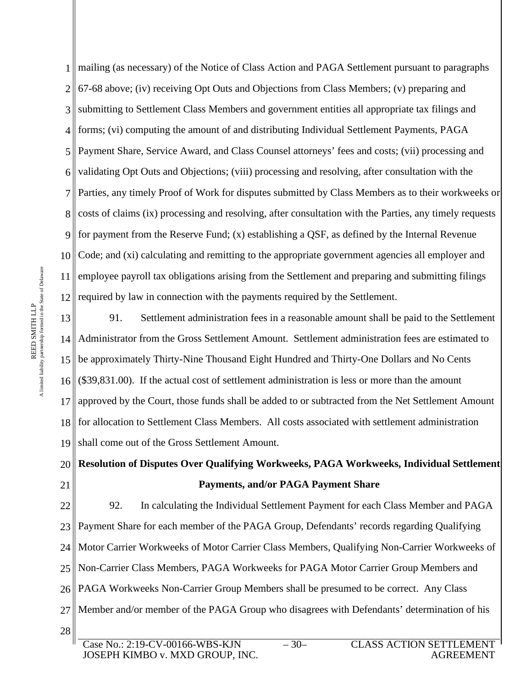1 mailing (as necessary) of the Notice of Class Action and PAGA Settlement pursuant to paragraphs 2  $3<sup>||</sup>$ 4 5 6 7 8 costs of claims (ix) processing and resolving, after consultation with the Parties, any timely requests 9 10 11 12 67-68 above; (iv) receiving Opt Outs and Objections from Class Members; (v) preparing and submitting to Settlement Class Members and government entities all appropriate tax filings and forms; (vi) computing the amount of and distributing Individual Settlement Payments, PAGA Payment Share, Service Award, and Class Counsel attorneys' fees and costs; (vii) processing and validating Opt Outs and Objections; (viii) processing and resolving, after consultation with the Parties, any timely Proof of Work for disputes submitted by Class Members as to their workweeks or for payment from the Reserve Fund; (x) establishing a OSF, as defined by the Internal Revenue Code; and (xi) calculating and remitting to the appropriate government agencies all employer and employee payroll tax obligations arising from the Settlement and preparing and submitting filings required by law in connection with the payments required by the Settlement.

13 14 Administrator from the Gross Settlement Amount. Settlement administration fees are estimated to 15 be approximately Thirty-Nine Thousand Eight Hundred and Thirty-One Dollars and No Cents 16 17 18 19 91. Settlement administration fees in a reasonable amount shall be paid to the Settlement (\$39,831.00). If the actual cost of settlement administration is less or more than the amount approved by the Court, those funds shall be added to or subtracted from the Net Settlement Amount for allocation to Settlement Class Members. All costs associated with settlement administration shall come out of the Gross Settlement Amount.

20 21 **Resolution of Disputes Over Qualifying Workweeks, PAGA Workweeks, Individual Settlement Payments, and/or PAGA Payment Share** 

22  $23$ 24 25 26 27 28 92. In calculating the Individual Settlement Payment for each Class Member and PAGA Payment Share for each member of the PAGA Group, Defendants' records regarding Qualifying Motor Carrier Workweeks of Motor Carrier Class Members, Qualifying Non-Carrier Workweeks of Non-Carrier Class Members, PAGA Workweeks for PAGA Motor Carrier Group Members and PAGA Workweeks Non-Carrier Group Members shall be presumed to be correct. Any Class Member and/or member of the PAGA Group who disagrees with Defendants' determination of his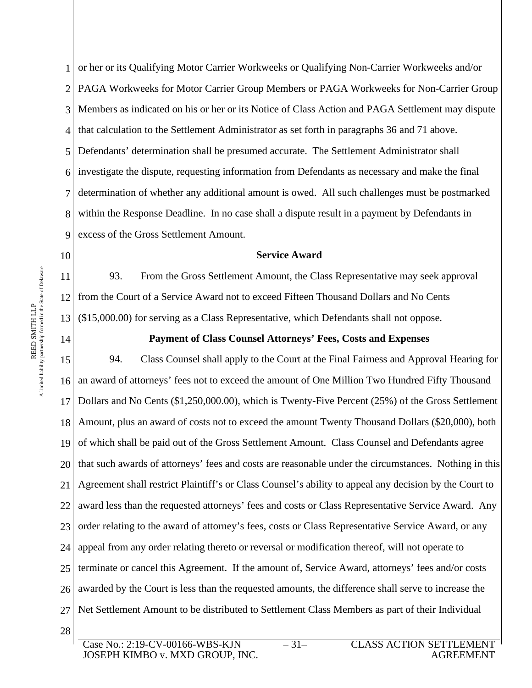1 2 3 4 5 6 7 8 9 or her or its Qualifying Motor Carrier Workweeks or Qualifying Non-Carrier Workweeks and/or PAGA Workweeks for Motor Carrier Group Members or PAGA Workweeks for Non-Carrier Group Members as indicated on his or her or its Notice of Class Action and PAGA Settlement may dispute that calculation to the Settlement Administrator as set forth in paragraphs 36 and 71 above. Defendants' determination shall be presumed accurate. The Settlement Administrator shall investigate the dispute, requesting information from Defendants as necessary and make the final determination of whether any additional amount is owed. All such challenges must be postmarked within the Response Deadline. In no case shall a dispute result in a payment by Defendants in excess of the Gross Settlement Amount.

#### **Service Award**

11 12 13 93. From the Gross Settlement Amount, the Class Representative may seek approval from the Court of a Service Award not to exceed Fifteen Thousand Dollars and No Cents (\$15,000.00) for serving as a Class Representative, which Defendants shall not oppose.

14

10

#### **Payment of Class Counsel Attorneys' Fees, Costs and Expenses**

15 16 17 18 19 20 21 22 23 24 25 26 27 28 94. Class Counsel shall apply to the Court at the Final Fairness and Approval Hearing for an award of attorneys' fees not to exceed the amount of One Million Two Hundred Fifty Thousand Dollars and No Cents (\$1,250,000.00), which is Twenty-Five Percent (25%) of the Gross Settlement Amount, plus an award of costs not to exceed the amount Twenty Thousand Dollars (\$20,000), both of which shall be paid out of the Gross Settlement Amount. Class Counsel and Defendants agree that such awards of attorneys' fees and costs are reasonable under the circumstances. Nothing in this Agreement shall restrict Plaintiff's or Class Counsel's ability to appeal any decision by the Court to award less than the requested attorneys' fees and costs or Class Representative Service Award. Any order relating to the award of attorney's fees, costs or Class Representative Service Award, or any appeal from any order relating thereto or reversal or modification thereof, will not operate to terminate or cancel this Agreement. If the amount of, Service Award, attorneys' fees and/or costs awarded by the Court is less than the requested amounts, the difference shall serve to increase the Net Settlement Amount to be distributed to Settlement Class Members as part of their Individual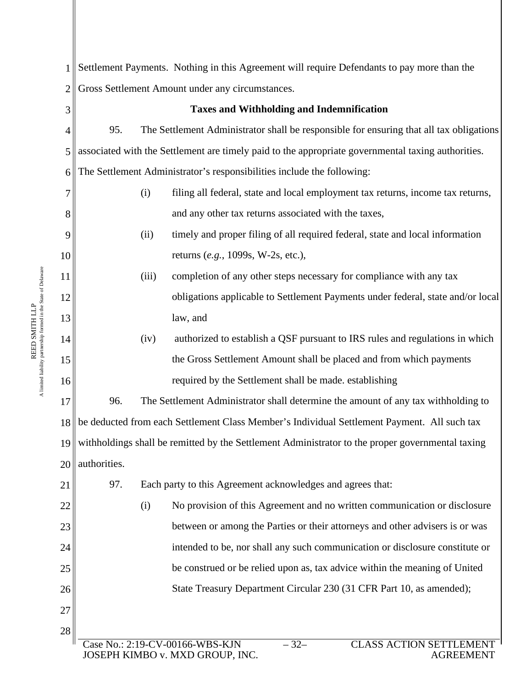| $\mathbf{1}$    | Settlement Payments. Nothing in this Agreement will require Defendants to pay more than the         |  |  |  |
|-----------------|-----------------------------------------------------------------------------------------------------|--|--|--|
| $\overline{2}$  | Gross Settlement Amount under any circumstances.                                                    |  |  |  |
| 3               | <b>Taxes and Withholding and Indemnification</b>                                                    |  |  |  |
| 4               | 95.<br>The Settlement Administrator shall be responsible for ensuring that all tax obligations      |  |  |  |
| 5               | associated with the Settlement are timely paid to the appropriate governmental taxing authorities.  |  |  |  |
| 6               | The Settlement Administrator's responsibilities include the following:                              |  |  |  |
| 7               | filing all federal, state and local employment tax returns, income tax returns,<br>(i)              |  |  |  |
| $8\,$           | and any other tax returns associated with the taxes,                                                |  |  |  |
| 9               | timely and proper filing of all required federal, state and local information<br>(ii)               |  |  |  |
| 10              | returns (e.g., 1099s, W-2s, etc.),                                                                  |  |  |  |
| 11              | completion of any other steps necessary for compliance with any tax<br>(iii)                        |  |  |  |
| 12              | obligations applicable to Settlement Payments under federal, state and/or local                     |  |  |  |
| 13              | law, and                                                                                            |  |  |  |
| 14              | authorized to establish a QSF pursuant to IRS rules and regulations in which<br>(iv)                |  |  |  |
| 15              | the Gross Settlement Amount shall be placed and from which payments                                 |  |  |  |
| 16              | required by the Settlement shall be made. establishing                                              |  |  |  |
| 17              | 96.<br>The Settlement Administrator shall determine the amount of any tax withholding to            |  |  |  |
| 18 <sub>1</sub> | be deducted from each Settlement Class Member's Individual Settlement Payment. All such tax         |  |  |  |
|                 | 19 withholdings shall be remitted by the Settlement Administrator to the proper governmental taxing |  |  |  |
| 20              | authorities.                                                                                        |  |  |  |
| 21              | 97.<br>Each party to this Agreement acknowledges and agrees that:                                   |  |  |  |
| 22              | (i)<br>No provision of this Agreement and no written communication or disclosure                    |  |  |  |
| 23              | between or among the Parties or their attorneys and other advisers is or was                        |  |  |  |
| 24              | intended to be, nor shall any such communication or disclosure constitute or                        |  |  |  |
| 25              | be construed or be relied upon as, tax advice within the meaning of United                          |  |  |  |
| 26              | State Treasury Department Circular 230 (31 CFR Part 10, as amended);                                |  |  |  |
| 27              |                                                                                                     |  |  |  |
| 28              | $Tase No \cdot 2.19-CV-00166-WRS-KIN$<br><b>CLASS ACTION SETTLEMENT</b><br>$32-$                    |  |  |  |

 $\parallel$ 

A

Case No.: 2:19-CV-00166-WBS-KJN JOSEPH KIMBO v. MXD GROUP, INC.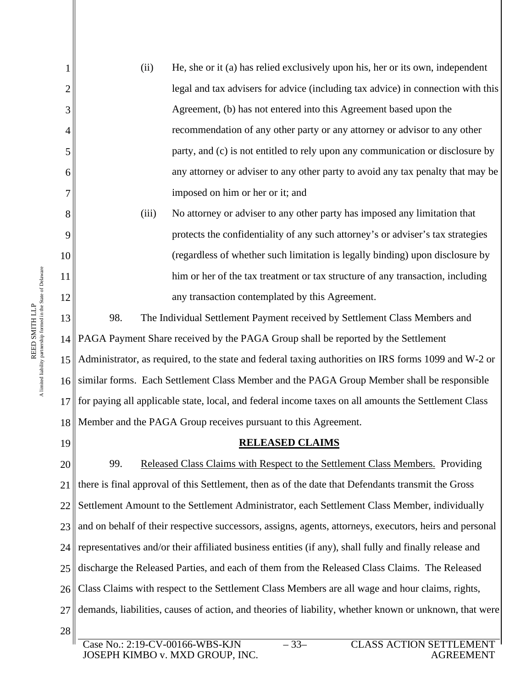(ii) He, she or it (a) has relied exclusively upon his, her or its own, independent legal and tax advisers for advice (including tax advice) in connection with this Agreement, (b) has not entered into this Agreement based upon the recommendation of any other party or any attorney or advisor to any other party, and (c) is not entitled to rely upon any communication or disclosure by any attorney or adviser to any other party to avoid any tax penalty that may be imposed on him or her or it; and (iii) No attorney or adviser to any other party has imposed any limitation that

protects the confidentiality of any such attorney's or adviser's tax strategies (regardless of whether such limitation is legally binding) upon disclosure by him or her of the tax treatment or tax structure of any transaction, including any transaction contemplated by this Agreement.

13 14 PAGA Payment Share received by the PAGA Group shall be reported by the Settlement 15 16 17 18 98. The Individual Settlement Payment received by Settlement Class Members and Administrator, as required, to the state and federal taxing authorities on IRS forms 1099 and W-2 or similar forms. Each Settlement Class Member and the PAGA Group Member shall be responsible for paying all applicable state, local, and federal income taxes on all amounts the Settlement Class Member and the PAGA Group receives pursuant to this Agreement.

19

1

2

3

4

5

6

7

8

9

10

11

12

# **RELEASED CLAIMS**

20 21 22 23 24 25 26 27 28 99. Released Class Claims with Respect to the Settlement Class Members. Providing there is final approval of this Settlement, then as of the date that Defendants transmit the Gross Settlement Amount to the Settlement Administrator, each Settlement Class Member, individually and on behalf of their respective successors, assigns, agents, attorneys, executors, heirs and personal representatives and/or their affiliated business entities (if any), shall fully and finally release and discharge the Released Parties, and each of them from the Released Class Claims. The Released Class Claims with respect to the Settlement Class Members are all wage and hour claims, rights, demands, liabilities, causes of action, and theories of liability, whether known or unknown, that were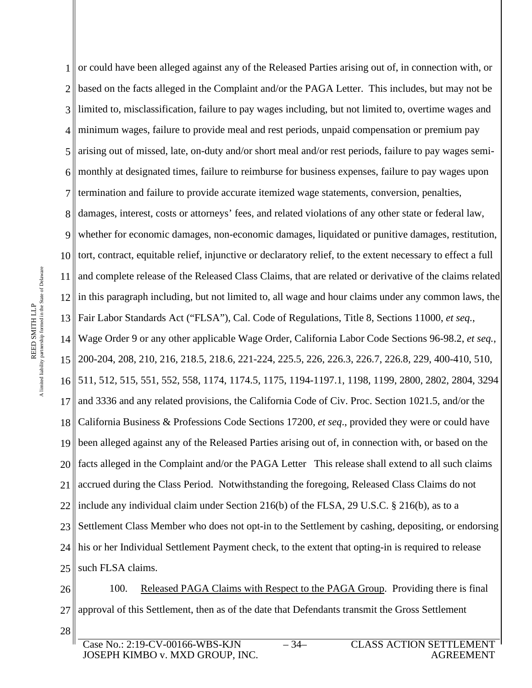1 or could have been alleged against any of the Released Parties arising out of, in connection with, or 2 3 4 5 6 7 8 9 10 11 12 13 Fair Labor Standards Act ("FLSA"), Cal. Code of Regulations, Title 8, Sections 11000, *et seq.*, 14 15 16 17 18 19 20 21 22 23 24 25 based on the facts alleged in the Complaint and/or the PAGA Letter. This includes, but may not be limited to, misclassification, failure to pay wages including, but not limited to, overtime wages and minimum wages, failure to provide meal and rest periods, unpaid compensation or premium pay arising out of missed, late, on-duty and/or short meal and/or rest periods, failure to pay wages semimonthly at designated times, failure to reimburse for business expenses, failure to pay wages upon termination and failure to provide accurate itemized wage statements, conversion, penalties, damages, interest, costs or attorneys' fees, and related violations of any other state or federal law, whether for economic damages, non-economic damages, liquidated or punitive damages, restitution, tort, contract, equitable relief, injunctive or declaratory relief, to the extent necessary to effect a full and complete release of the Released Class Claims, that are related or derivative of the claims related in this paragraph including, but not limited to, all wage and hour claims under any common laws, the Wage Order 9 or any other applicable Wage Order, California Labor Code Sections 96-98.2, *et seq.*, 200-204, 208, 210, 216, 218.5, 218.6, 221-224, 225.5, 226, 226.3, 226.7, 226.8, 229, 400-410, 510, 511, 512, 515, 551, 552, 558, 1174, 1174.5, 1175, 1194-1197.1, 1198, 1199, 2800, 2802, 2804, 3294 and 3336 and any related provisions, the California Code of Civ. Proc. Section 1021.5, and/or the California Business & Professions Code Sections 17200, *et seq*., provided they were or could have been alleged against any of the Released Parties arising out of, in connection with, or based on the facts alleged in the Complaint and/or the PAGA Letter This release shall extend to all such claims accrued during the Class Period. Notwithstanding the foregoing, Released Class Claims do not include any individual claim under Section 216(b) of the FLSA, 29 U.S.C. § 216(b), as to a Settlement Class Member who does not opt-in to the Settlement by cashing, depositing, or endorsing his or her Individual Settlement Payment check, to the extent that opting-in is required to release such FLSA claims.

26 27 28 100. Released PAGA Claims with Respect to the PAGA Group. Providing there is final approval of this Settlement, then as of the date that Defendants transmit the Gross Settlement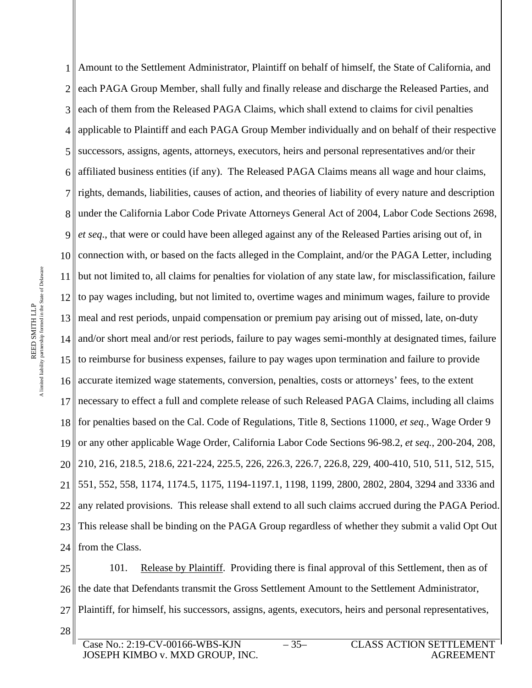1 2 3 4 5 6 7 8 under the California Labor Code Private Attorneys General Act of 2004, Labor Code Sections 2698, 9 10 11 12 13 meal and rest periods, unpaid compensation or premium pay arising out of missed, late, on-duty 14 and/or short meal and/or rest periods, failure to pay wages semi-monthly at designated times, failure 15 to reimburse for business expenses, failure to pay wages upon termination and failure to provide 16 17 18 19 20 21 22 23 24 Amount to the Settlement Administrator, Plaintiff on behalf of himself, the State of California, and each PAGA Group Member, shall fully and finally release and discharge the Released Parties, and each of them from the Released PAGA Claims, which shall extend to claims for civil penalties applicable to Plaintiff and each PAGA Group Member individually and on behalf of their respective successors, assigns, agents, attorneys, executors, heirs and personal representatives and/or their affiliated business entities (if any). The Released PAGA Claims means all wage and hour claims, rights, demands, liabilities, causes of action, and theories of liability of every nature and description *et seq*., that were or could have been alleged against any of the Released Parties arising out of, in connection with, or based on the facts alleged in the Complaint, and/or the PAGA Letter, including but not limited to, all claims for penalties for violation of any state law, for misclassification, failure to pay wages including, but not limited to, overtime wages and minimum wages, failure to provide accurate itemized wage statements, conversion, penalties, costs or attorneys' fees, to the extent necessary to effect a full and complete release of such Released PAGA Claims, including all claims for penalties based on the Cal. Code of Regulations, Title 8, Sections 11000, *et seq.*, Wage Order 9 or any other applicable Wage Order, California Labor Code Sections 96-98.2, *et seq.*, 200-204, 208, 210, 216, 218.5, 218.6, 221-224, 225.5, 226, 226.3, 226.7, 226.8, 229, 400-410, 510, 511, 512, 515, 551, 552, 558, 1174, 1174.5, 1175, 1194-1197.1, 1198, 1199, 2800, 2802, 2804, 3294 and 3336 and any related provisions. This release shall extend to all such claims accrued during the PAGA Period. This release shall be binding on the PAGA Group regardless of whether they submit a valid Opt Out from the Class.

25 26 27 28 101. Release by Plaintiff. Providing there is final approval of this Settlement, then as of the date that Defendants transmit the Gross Settlement Amount to the Settlement Administrator, Plaintiff, for himself, his successors, assigns, agents, executors, heirs and personal representatives,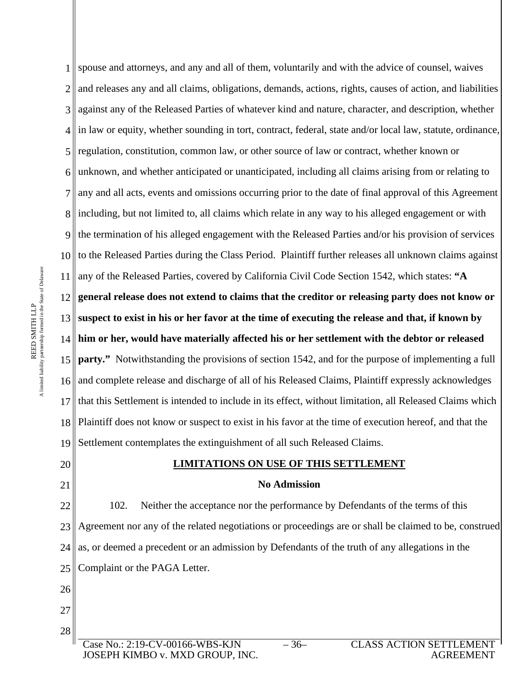1 2 3 4 5 6 7 8<sup>|</sup>| including, but not limited to, all claims which relate in any way to his alleged engagement or with 9 10 11 any of the Released Parties, covered by California Civil Code Section 1542, which states: **"A**  12  $13<sup>||</sup>$ 14 **him or her, would have materially affected his or her settlement with the debtor or released**  15 16 17 18 19 spouse and attorneys, and any and all of them, voluntarily and with the advice of counsel, waives and releases any and all claims, obligations, demands, actions, rights, causes of action, and liabilities against any of the Released Parties of whatever kind and nature, character, and description, whether in law or equity, whether sounding in tort, contract, federal, state and/or local law, statute, ordinance, regulation, constitution, common law, or other source of law or contract, whether known or unknown, and whether anticipated or unanticipated, including all claims arising from or relating to any and all acts, events and omissions occurring prior to the date of final approval of this Agreement the termination of his alleged engagement with the Released Parties and/or his provision of services to the Released Parties during the Class Period. Plaintiff further releases all unknown claims against **general release does not extend to claims that the creditor or releasing party does not know or suspect to exist in his or her favor at the time of executing the release and that, if known by party."** Notwithstanding the provisions of section 1542, and for the purpose of implementing a full and complete release and discharge of all of his Released Claims, Plaintiff expressly acknowledges that this Settlement is intended to include in its effect, without limitation, all Released Claims which Plaintiff does not know or suspect to exist in his favor at the time of execution hereof, and that the Settlement contemplates the extinguishment of all such Released Claims.

# 20 21

26

27

28

#### **LIMITATIONS ON USE OF THIS SETTLEMENT**

#### **No Admission**

22 23 24 25 102. Neither the acceptance nor the performance by Defendants of the terms of this Agreement nor any of the related negotiations or proceedings are or shall be claimed to be, construed as, or deemed a precedent or an admission by Defendants of the truth of any allegations in the Complaint or the PAGA Letter.

Case No.: 2:19-CV-00166-WBS-KJN JOSEPH KIMBO v. MXD GROUP, INC.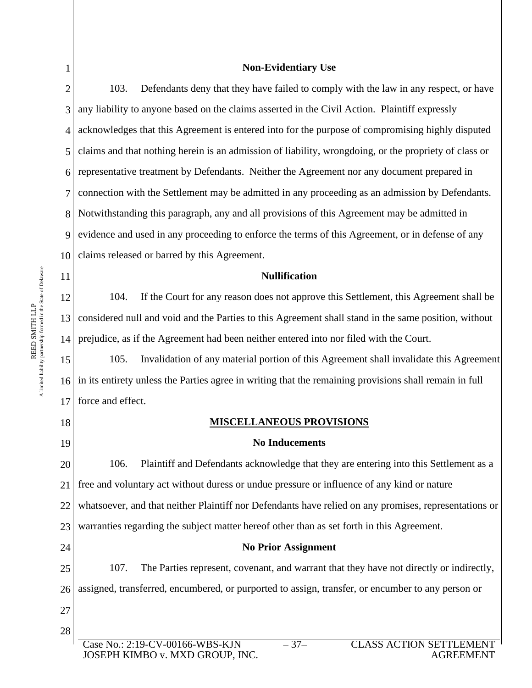1

# **Non-Evidentiary Use**

2 3 4 5 6 7 8 Notwithstanding this paragraph, any and all provisions of this Agreement may be admitted in 9 10 103. Defendants deny that they have failed to comply with the law in any respect, or have any liability to anyone based on the claims asserted in the Civil Action. Plaintiff expressly acknowledges that this Agreement is entered into for the purpose of compromising highly disputed claims and that nothing herein is an admission of liability, wrongdoing, or the propriety of class or representative treatment by Defendants. Neither the Agreement nor any document prepared in connection with the Settlement may be admitted in any proceeding as an admission by Defendants. evidence and used in any proceeding to enforce the terms of this Agreement, or in defense of any claims released or barred by this Agreement.

#### **Nullification**

12 13 considered null and void and the Parties to this Agreement shall stand in the same position, without 14 104. If the Court for any reason does not approve this Settlement, this Agreement shall be prejudice, as if the Agreement had been neither entered into nor filed with the Court.

15 16 17 105. Invalidation of any material portion of this Agreement shall invalidate this Agreement in its entirety unless the Parties agree in writing that the remaining provisions shall remain in full force and effect.

18 19

11

# **MISCELLANEOUS PROVISIONS**

# **No Inducements**

20 21 22 23 106. Plaintiff and Defendants acknowledge that they are entering into this Settlement as a free and voluntary act without duress or undue pressure or influence of any kind or nature whatsoever, and that neither Plaintiff nor Defendants have relied on any promises, representations or warranties regarding the subject matter hereof other than as set forth in this Agreement.

# **No Prior Assignment**

25 26 107. The Parties represent, covenant, and warrant that they have not directly or indirectly, assigned, transferred, encumbered, or purported to assign, transfer, or encumber to any person or

27 28

24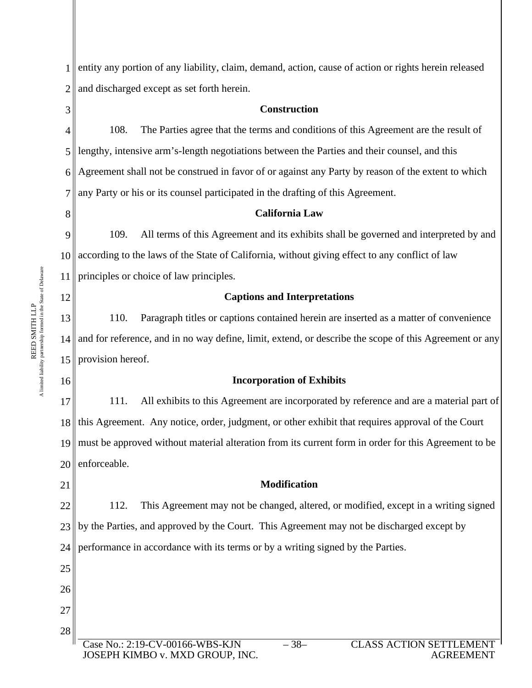1 2 entity any portion of any liability, claim, demand, action, cause of action or rights herein released and discharged except as set forth herein.

## **Construction**

4 5 6 7 108. The Parties agree that the terms and conditions of this Agreement are the result of lengthy, intensive arm's-length negotiations between the Parties and their counsel, and this Agreement shall not be construed in favor of or against any Party by reason of the extent to which any Party or his or its counsel participated in the drafting of this Agreement.

# 8

12

16

3

# **California Law**

9 10 11 109. All terms of this Agreement and its exhibits shall be governed and interpreted by and according to the laws of the State of California, without giving effect to any conflict of law principles or choice of law principles.

# **Captions and Interpretations**

13 14 15 provision hereof. 110. Paragraph titles or captions contained herein are inserted as a matter of convenience and for reference, and in no way define, limit, extend, or describe the scope of this Agreement or any

# **Incorporation of Exhibits**

17 18 19 20 111. All exhibits to this Agreement are incorporated by reference and are a material part of this Agreement. Any notice, order, judgment, or other exhibit that requires approval of the Court must be approved without material alteration from its current form in order for this Agreement to be enforceable.

21

22

23

25

26

27

# 112. This Agreement may not be changed, altered, or modified, except in a writing signed

**Modification** 

24 by the Parties, and approved by the Court. This Agreement may not be discharged except by performance in accordance with its terms or by a writing signed by the Parties.

28  $Case No.: 2:19-CV-00166-WBS$ JOSEPH KIMBO v. MXD GROUP, INC.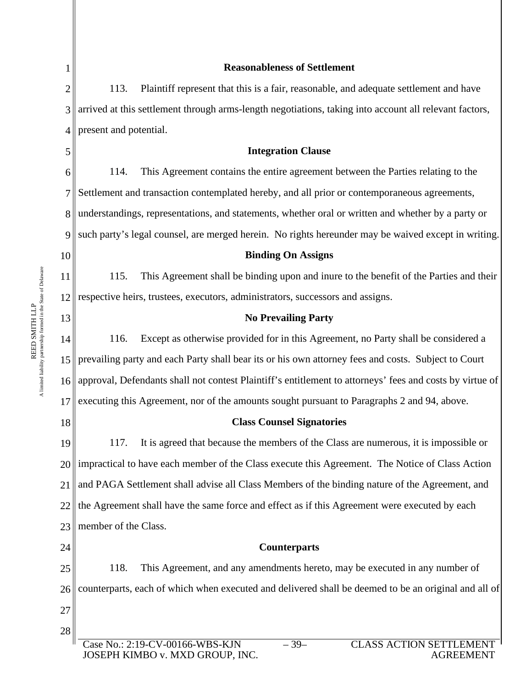| 1              | <b>Reasonableness of Settlement</b>                                                                                                |  |  |  |  |
|----------------|------------------------------------------------------------------------------------------------------------------------------------|--|--|--|--|
| $\overline{2}$ | 113.<br>Plaintiff represent that this is a fair, reasonable, and adequate settlement and have                                      |  |  |  |  |
| 3              | arrived at this settlement through arms-length negotiations, taking into account all relevant factors,                             |  |  |  |  |
| $\overline{4}$ | present and potential.                                                                                                             |  |  |  |  |
| 5              | <b>Integration Clause</b>                                                                                                          |  |  |  |  |
| 6              | This Agreement contains the entire agreement between the Parties relating to the<br>114.                                           |  |  |  |  |
| 7              | Settlement and transaction contemplated hereby, and all prior or contemporaneous agreements,                                       |  |  |  |  |
| 8              | understandings, representations, and statements, whether oral or written and whether by a party or                                 |  |  |  |  |
| 9              | such party's legal counsel, are merged herein. No rights hereunder may be waived except in writing.                                |  |  |  |  |
| 10             | <b>Binding On Assigns</b>                                                                                                          |  |  |  |  |
| 11             | This Agreement shall be binding upon and inure to the benefit of the Parties and their<br>115.                                     |  |  |  |  |
| 12             | respective heirs, trustees, executors, administrators, successors and assigns.                                                     |  |  |  |  |
| 13             | <b>No Prevailing Party</b>                                                                                                         |  |  |  |  |
| 14             | 116.<br>Except as otherwise provided for in this Agreement, no Party shall be considered a                                         |  |  |  |  |
| 15             | prevailing party and each Party shall bear its or his own attorney fees and costs. Subject to Court                                |  |  |  |  |
| 16             | approval, Defendants shall not contest Plaintiff's entitlement to attorneys' fees and costs by virtue of                           |  |  |  |  |
| 17             | executing this Agreement, nor of the amounts sought pursuant to Paragraphs 2 and 94, above.                                        |  |  |  |  |
| 18             | <b>Class Counsel Signatories</b>                                                                                                   |  |  |  |  |
| 19             | It is agreed that because the members of the Class are numerous, it is impossible or<br>117.                                       |  |  |  |  |
| 20             | impractical to have each member of the Class execute this Agreement. The Notice of Class Action                                    |  |  |  |  |
| 21             | and PAGA Settlement shall advise all Class Members of the binding nature of the Agreement, and                                     |  |  |  |  |
| 22             | the Agreement shall have the same force and effect as if this Agreement were executed by each                                      |  |  |  |  |
| 23             | member of the Class.                                                                                                               |  |  |  |  |
| 24             | <b>Counterparts</b>                                                                                                                |  |  |  |  |
| 25             | This Agreement, and any amendments hereto, may be executed in any number of<br>118.                                                |  |  |  |  |
| 26             | counterparts, each of which when executed and delivered shall be deemed to be an original and all of                               |  |  |  |  |
| 27             |                                                                                                                                    |  |  |  |  |
| 28             |                                                                                                                                    |  |  |  |  |
|                | Case No.: 2:19-CV-00166-WBS-KJN<br>$-39-$<br><b>CLASS ACTION SETTLEMENT</b><br>JOSEPH KIMBO v. MXD GROUP, INC.<br><b>AGREEMENT</b> |  |  |  |  |

║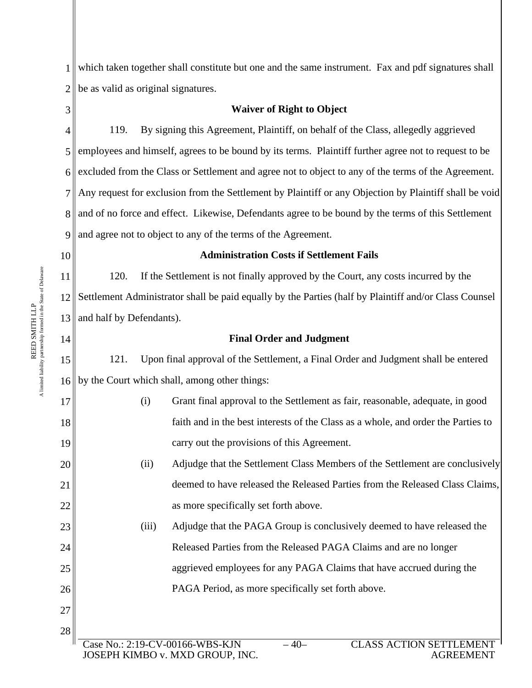1 2 which taken together shall constitute but one and the same instrument. Fax and pdf signatures shall be as valid as original signatures.

3

# **Waiver of Right to Object**

4 5 6 7 8 and of no force and effect. Likewise, Defendants agree to be bound by the terms of this Settlement 9 119. By signing this Agreement, Plaintiff, on behalf of the Class, allegedly aggrieved employees and himself, agrees to be bound by its terms. Plaintiff further agree not to request to be excluded from the Class or Settlement and agree not to object to any of the terms of the Agreement. Any request for exclusion from the Settlement by Plaintiff or any Objection by Plaintiff shall be void and agree not to object to any of the terms of the Agreement.

10

14

17

18

19

20

21

22

23

24

25

26

27

# **Administration Costs if Settlement Fails**

11 12 13 and half by Defendants). 120. If the Settlement is not finally approved by the Court, any costs incurred by the Settlement Administrator shall be paid equally by the Parties (half by Plaintiff and/or Class Counsel

# **Final Order and Judgment**

15 16 by the Court which shall, among other things: 121. Upon final approval of the Settlement, a Final Order and Judgment shall be entered

> (i) Grant final approval to the Settlement as fair, reasonable, adequate, in good faith and in the best interests of the Class as a whole, and order the Parties to carry out the provisions of this Agreement.

# (ii) Adjudge that the Settlement Class Members of the Settlement are conclusively deemed to have released the Released Parties from the Released Class Claims, as more specifically set forth above.

(iii) Adjudge that the PAGA Group is conclusively deemed to have released the Released Parties from the Released PAGA Claims and are no longer aggrieved employees for any PAGA Claims that have accrued during the PAGA Period, as more specifically set forth above.

- 
- 28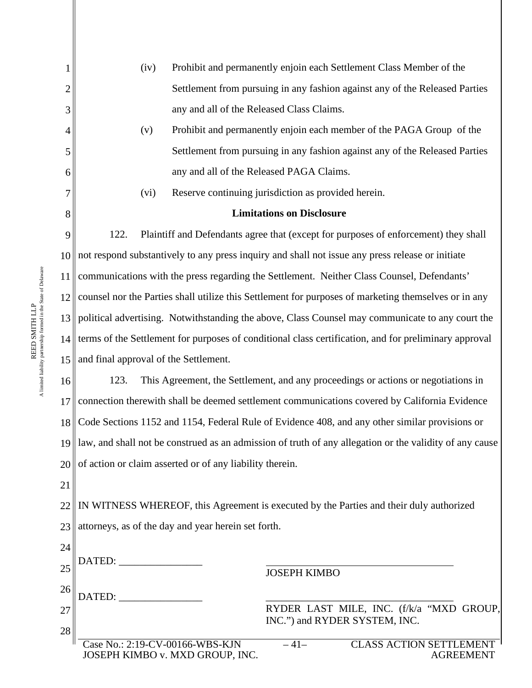|    | (iv)<br>Prohibit and permanently enjoin each Settlement Class Member of the                                                        |  |  |
|----|------------------------------------------------------------------------------------------------------------------------------------|--|--|
| 2  | Settlement from pursuing in any fashion against any of the Released Parties                                                        |  |  |
| 3  | any and all of the Released Class Claims.                                                                                          |  |  |
| 4  | Prohibit and permanently enjoin each member of the PAGA Group of the<br>(v)                                                        |  |  |
| 5  | Settlement from pursuing in any fashion against any of the Released Parties                                                        |  |  |
| 6  | any and all of the Released PAGA Claims.                                                                                           |  |  |
| 7  | Reserve continuing jurisdiction as provided herein.<br>(vi)                                                                        |  |  |
| 8  | <b>Limitations on Disclosure</b>                                                                                                   |  |  |
| 9  | 122.<br>Plaintiff and Defendants agree that (except for purposes of enforcement) they shall                                        |  |  |
| 10 | not respond substantively to any press inquiry and shall not issue any press release or initiate                                   |  |  |
| 11 | communications with the press regarding the Settlement. Neither Class Counsel, Defendants'                                         |  |  |
| 12 | counsel nor the Parties shall utilize this Settlement for purposes of marketing themselves or in any                               |  |  |
| 13 | political advertising. Notwithstanding the above, Class Counsel may communicate to any court the                                   |  |  |
| 14 | terms of the Settlement for purposes of conditional class certification, and for preliminary approval                              |  |  |
| 15 | and final approval of the Settlement.                                                                                              |  |  |
| 16 | 123.<br>This Agreement, the Settlement, and any proceedings or actions or negotiations in                                          |  |  |
| 17 | connection therewith shall be deemed settlement communications covered by California Evidence                                      |  |  |
| 18 | Code Sections 1152 and 1154, Federal Rule of Evidence 408, and any other similar provisions or                                     |  |  |
|    | $19$ law, and shall not be construed as an admission of truth of any allegation or the validity of any cause                       |  |  |
| 20 | of action or claim asserted or of any liability therein.                                                                           |  |  |
| 21 |                                                                                                                                    |  |  |
| 22 | IN WITNESS WHEREOF, this Agreement is executed by the Parties and their duly authorized                                            |  |  |
| 23 | attorneys, as of the day and year herein set forth.                                                                                |  |  |
| 24 |                                                                                                                                    |  |  |
| 25 | DATED: __________________<br><b>JOSEPH KIMBO</b>                                                                                   |  |  |
| 26 | DATED:                                                                                                                             |  |  |
| 27 | RYDER LAST MILE, INC. (f/k/a "MXD GROUP,<br>INC.") and RYDER SYSTEM, INC.                                                          |  |  |
| 28 |                                                                                                                                    |  |  |
|    | Case No.: 2:19-CV-00166-WBS-KJN<br>$-41-$<br><b>CLASS ACTION SETTLEMENT</b><br>JOSEPH KIMBO v. MXD GROUP, INC.<br><b>AGREEMENT</b> |  |  |